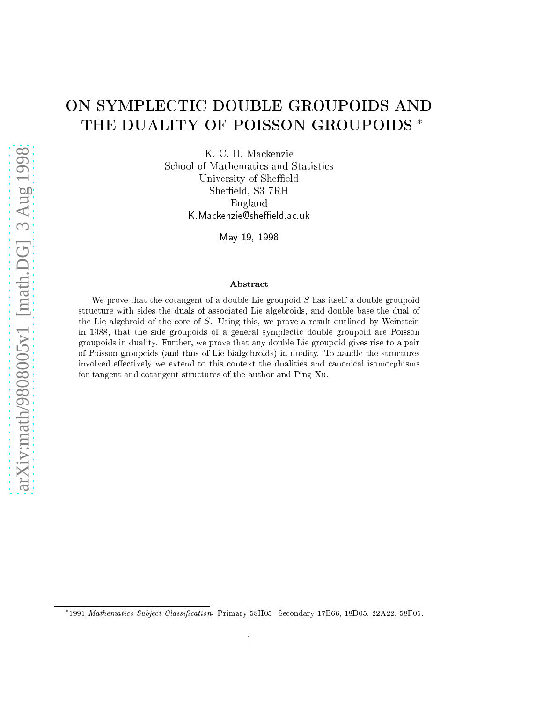# ON SYMPLECTIC DOUBLE GROUPOIDS AND THE DUALITY OF POISSON GROUPOIDS  $^*$

K. C. H. Ma
kenzie School of Mathematics and Statistics University of Sheffield Sheffield, S3 7RH England K. Mackenzie@sheffield.ac.uk

May 19, <sup>1998</sup>

#### Abstra
t

We prove that the cotangent of a double Lie groupoid  $S$  has itself a double groupoid structure with sides the duals of associated Lie algebroids, and double base the dual of the Lie algebroid of the core of  $S$ . Using this, we prove a result outlined by Weinstein in 1988, that the side groupoids of <sup>a</sup> general symple
ti double groupoid are Poisson groupoids in duality. Further, we prove that any double Lie groupoid gives rise to <sup>a</sup> pair of Poisson groupoids (and thus of Lie bialgebroids) in duality. To handle the stru
tures involved effectively we extend to this context the dualities and canonical isomorphisms for tangent and otangent stru
tures of the author and Ping Xu.

<sup>\*1991</sup> Mathematics Subject Classification. Primary 58H05. Secondary 17B66, 18D05, 22A22, 58F05.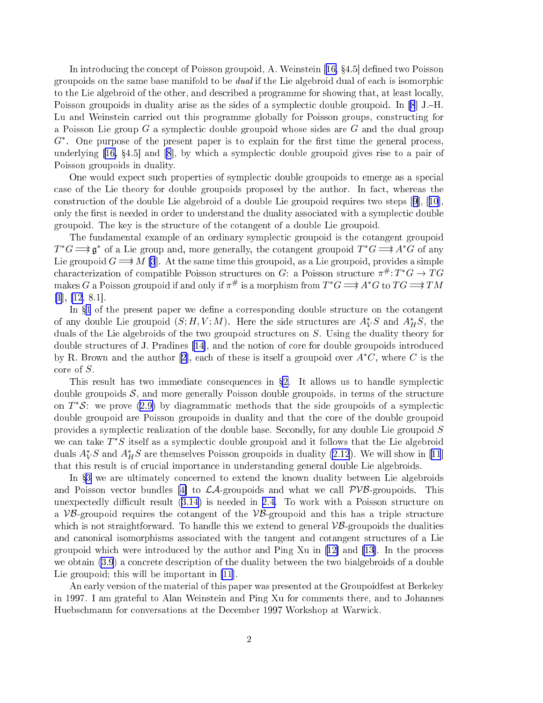In introducing the concept of Poisson groupoid, A. Weinstein [[16,](#page-20-0) §4.5] defined two Poisson groupoids on the same base manifold to be *dual* if the Lie algebroid dual of each is isomorphic to the Lie algebroid of the other, and described a programme for showing that, at least locally, Poisson groupoids in duality arise as the sides of a symplectic double groupoid. In  $[8]$  $[8]$  J.-H. Lu and Weinstein carried out this programme globally for Poisson groups, constructing for a Poisson Lie group  $G$  a symplectic double groupoid whose sides are  $G$  and the dual group  $G^*$ . One purpose of the present paper is to explain for the first time the general process, underlying  $[16, 84.5]$  $[16, 84.5]$  $[16, 84.5]$  $[16, 84.5]$  $[16, 84.5]$  and  $[8]$ , by which a symplectic double groupoid gives rise to a pair of Poisson groupoids in duality.

One would expect such properties of symplectic double groupoids to emerge as a special case of the Lie theory for double groupoids proposed by the author. In fact, whereas the construction of the double Lie algebroid of a double Lie groupoid requires two steps  $[9]$ ,  $[10]$  $[10]$  $[10]$ . only the first is needed in order to understand the duality associated with a symplectic double groupoid. The key is the stru
ture of the otangent of a double Lie groupoid.

The fundamental example of an ordinary symple
ti groupoid is the otangent groupoid  $T^*G \Longrightarrow \mathfrak{g}^*$  of a Lie group and, more generally, the cotangent groupoid  $T^*G \Longrightarrow A^*G$  of any Lie groupoid  $G \longrightarrow M$  [\[3](#page-20-0)]. At the same time this groupoid, as a Lie groupoid, provides a simple characterization of compatible Poisson structures on G: a Poisson structure  $\pi^{\#}: T^*G \to TG$ makes  $G$  a Poisson groupoid if and only if  $\pi^\#$  is a morphism from  $T^*G \Longrightarrow$   $A^*G$  to  $TG \Longrightarrow TM$  $[1], [12, 8.1].$  $[1], [12, 8.1].$  $[1], [12, 8.1].$  $[1], [12, 8.1].$ 

In  $\S1$  $\S1$  of the present paper we define a corresponding double structure on the cotangent of any double Lie groupoid  $(S; H, V; M)$ . Here the side structures are  $A_V^*S$  and  $A_H^*S$ , the duals of the Lie algebroids of the two groupoid structures on S. Using the duality theory for double structures of J. Pradines [\[14](#page-20-0)], and the notion of core for double groupoids introduced by R. Brown and the author [[2](#page-20-0)], each of these is itself a groupoid over  $A<sup>*</sup>C$ , where C is the core of  $S$ .

This result has two immediate consequences in  $\S2$ . It allows us to handle symplectic double groupoids  $S$ , and more generally Poisson double groupoids, in terms of the structure on  $T^*S$ : we prove ([2.9\)](#page-9-0) by diagrammatic methods that the side groupoids of a symplectic double groupoid are Poisson groupoids in duality and that the ore of the double groupoid provides a symplectic realization of the double base. Secondly, for any double Lie groupoid  $S$ we can take  $T^*S$  itself as a symplectic double groupoid and it follows that the Lie algebroid duals  $A_V^*S$  and  $A_H^*S$  are themselves Poisson groupoids in duality [\(2.12](#page-10-0)). We will show in [[11](#page-20-0)] that this result is of crucial importance in understanding general double Lie algebroids.

In §[3](#page-10-0) we are ultimately concerned to extend the known duality between Lie algebroids and Poisson vector bundles [4] to  $\mathcal{LA}$ -groupoids and what we call  $\mathcal{PVB}$ -groupoids. This unexpectedly difficult result  $(3.14)$  $(3.14)$  is needed in [2.4.](#page-7-0) To work with a Poisson structure on a  $VB$ -groupoid requires the cotangent of the  $VB$ -groupoid and this has a triple structure which is not straightforward. To handle this we extend to general  $\mathcal{VB}$ -groupoids the dualities and canonical isomorphisms associated with the tangent and cotangent structures of a Lie groupoid which were introduced by the author and Ping Xu in  $|12|$  and  $|13|$ . In the process we obtain [\(3.9](#page-16-0)) a on
rete des
ription of the duality between the two bialgebroids of a double Lie groupoid; this will be important in  $[11]$  $[11]$ .

An early version of the material of this paper was presented at the Groupoidfest at Berkeley in 1997. I am grateful to Alan Weinstein and Ping Xu for omments there, and to Johannes Huebschmann for conversations at the December 1997 Workshop at Warwick.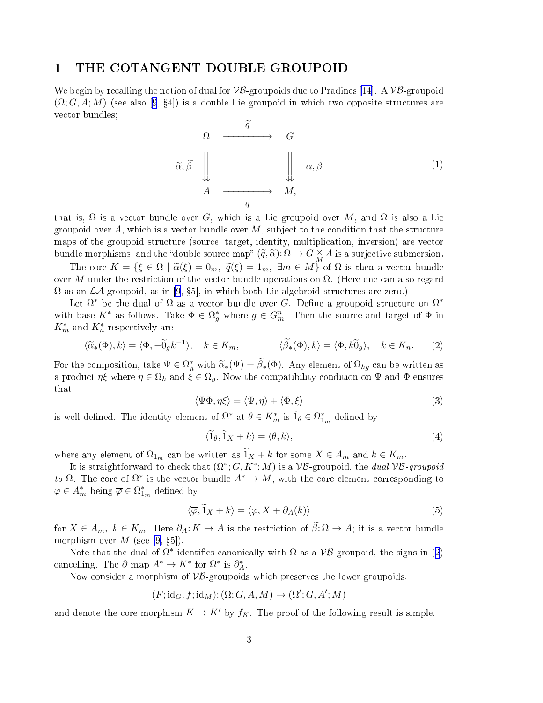#### <span id="page-2-0"></span>1 THE COTANGENT DOUBLE GROUPOID

We begin by recalling the notion of dual for  $VB$ -groupoids due to Pradines [14]. A  $VB$ -groupoid  $(\Omega; G, A; M)$  (see also [[9](#page-20-0), §4]) is a double Lie groupoid in which two opposite structures are vector bundles;

$$
\begin{array}{ccc}\n\Omega & \xrightarrow{\widetilde{q}} & G \\
\widetilde{\alpha}, \widetilde{\beta} & \Big\downarrow & & \Big\downarrow & \alpha, \beta \\
A & \xrightarrow{q} & M,\n\end{array} \tag{1}
$$

that is,  $\Omega$  is a vector bundle over G, which is a Lie groupoid over M, and  $\Omega$  is also a Lie groupoid over A, which is a vector bundle over  $M$ , subject to the condition that the structure maps of the groupoid stru
ture (sour
e, target, identity, multipli
ation, inversion) are ve
tor bundle morphisms, and the "double source map"  $(\tilde{q}, \tilde{\alpha})$ :  $\Omega \to G \underset{M}{\times} A$  is a surjective submersion.

The core  $K = \{ \xi \in \Omega \mid \tilde{\alpha}(\xi) = 0_m, \ \tilde{q}(\xi) = 1_m, \ \exists m \in M \}$  of  $\Omega$  is then a vector bundle over M under the restriction of the vector bundle operations on  $\Omega$ . (Here one can also regard  $\Omega$  as an  $\mathcal{L}A$ -groupoid, as in [\[9,](#page-20-0) §5], in which both Lie algebroid structures are zero.)

Let  $\Omega^*$  be the dual of  $\Omega$  as a vector bundle over  $G$ . Define a groupoid structure on  $\Omega^*$ with base  $K^*$  as follows. Take  $\Phi \in \Omega_g^*$  where  $g \in G_m^n$ . Then the source and target of  $\Phi$  in  $K_m^*$  and  $K_n^*$  respectively are

$$
\langle \widetilde{\alpha}_*(\Phi), k \rangle = \langle \Phi, -\widetilde{0}_g k^{-1} \rangle, \quad k \in K_m, \qquad \langle \widetilde{\beta}_*(\Phi), k \rangle = \langle \Phi, k \widetilde{0}_g \rangle, \quad k \in K_n. \tag{2}
$$

For the composition, take  $\Psi \in \Omega^*_h$  with  $\widetilde{\alpha}_*(\Psi) = \widetilde{\beta}_*(\Phi)$ . Any element of  $\Omega_{hg}$  can be written as a product  $\eta \xi$  where  $\eta \in \Omega_h$  and  $\xi \in \Omega_q$ . Now the compatibility condition on  $\Psi$  and  $\Phi$  ensures that

$$
\langle \Psi \Phi, \eta \xi \rangle = \langle \Psi, \eta \rangle + \langle \Phi, \xi \rangle \tag{3}
$$

is well defined. The identity element of  $\Omega^*$  at  $\theta \in K_m^*$  is  $\widetilde{1}_{\theta} \in \Omega_{1_m}^*$  defined by

$$
\langle \widetilde{1}_{\theta}, \widetilde{1}_X + k \rangle = \langle \theta, k \rangle, \tag{4}
$$

where any element of  $\Omega_{1_m}$  can be written as  $\widetilde{1}_X + k$  for some  $X \in A_m$  and  $k \in K_m$ .

It is straightforward to check that  $(\Omega^*; G, K^*; M)$  is a  $\mathcal{VB}$ -groupoid, the *dual*  $\mathcal{VB}\text{-}groupoid$ to  $\Omega$ . The core of  $\Omega^*$  is the vector bundle  $A^* \to M$ , with the core element corresponding to  $\varphi \in A_m^*$  being  $\overline{\varphi} \in \Omega^*_{1_m}$  defined by

$$
\langle \overline{\varphi}, \widetilde{1}_X + k \rangle = \langle \varphi, X + \partial_A(k) \rangle \tag{5}
$$

for  $X \in A_m$ ,  $k \in K_m$ . Here  $\partial_A: K \to A$  is the restriction of  $\tilde{\beta}: \Omega \to A$ ; it is a vector bundle morphism over  $M$  (see [\[9,](#page-20-0) §5]).

Note that the dual of  $\Omega^*$  identifies canonically with  $\Omega$  as a  $\mathcal{VB}$ -groupoid, the signs in (2) cancelling. The  $\partial$  map  $A^* \to K^*$  for  $\Omega^*$  is  $\partial_A^*$ .

Now consider a morphism of  $\mathcal{VB}$ -groupoids which preserves the lower groupoids:

 $(F; \mathrm{id}_G, f; \mathrm{id}_M) : (\Omega; G, A, M) \to (\Omega'; G, A'; M)$ 

and denote the core morphism  $K \to K'$  by  $f_K$ . The proof of the following result is simple.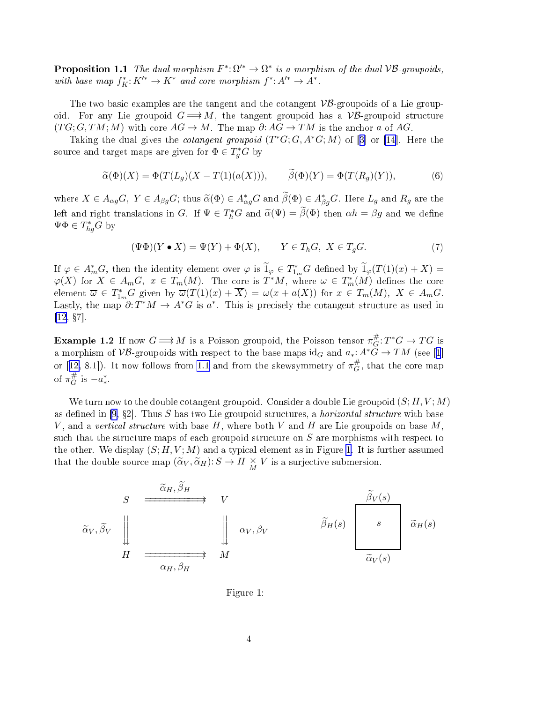<span id="page-3-0"></span>**Proposition 1.1** The dual morphism  $F^* \colon \Omega'^* \to \Omega^*$  is a morphism of the dual VB-groupoids, with base map  $f_K^*: K'^* \to K^*$  and core morphism  $f^*: A'^* \to A^*$ .

The two basic examples are the tangent and the cotangent  $\mathcal{VB}$ -groupoids of a Lie groupoid. For any Lie groupoid  $G \implies M$ , the tangent groupoid has a  $\mathcal{VB}$ -groupoid structure  $(TG; G, TM; M)$  with core  $AG \to M$ . The map  $\partial: AG \to TM$  is the anchor a of AG.

Taking the dual gives the *cotangent groupoid*  $(T^*G; G, A^*G; M)$  of [[3](#page-20-0)] or [\[14](#page-20-0)]. Here the source and target maps are given for  $\Phi \in T_g^*G$  by

$$
\widetilde{\alpha}(\Phi)(X) = \Phi(T(L_g)(X - T(1)(a(X))), \qquad \widetilde{\beta}(\Phi)(Y) = \Phi(T(R_g)(Y)), \tag{6}
$$

where  $X \in A_{\alpha g}G$ ,  $Y \in A_{\beta g}G$ ; thus  $\widetilde{\alpha}(\Phi) \in A_{\alpha g}^*G$  and  $\widetilde{\beta}(\Phi) \in A_{\beta g}^*G$ . Here  $L_g$  and  $R_g$  are the left and right translations in G. If  $\Psi \in T_h^*G$  and  $\tilde{\alpha}(\Psi) = \tilde{\beta}(\Phi)$  then  $\alpha h = \beta g$  and we define  $\Psi \Phi \in T^*_{hg}G$  by

$$
(\Psi \Phi)(Y \bullet X) = \Psi(Y) + \Phi(X), \qquad Y \in T_h G, \ X \in T_g G. \tag{7}
$$

If  $\varphi \in A_m^*G$ , then the identity element over  $\varphi$  is  $\widetilde{1}_{\varphi} \in T_{1_m}^*G$  defined by  $\widetilde{1}_{\varphi}(T(1)(x) + X) =$  $\varphi(X)$  for  $X \in A_m G$ ,  $x \in T_m(M)$ . The core is  $T^*M$ , where  $\omega \in T_m^*(M)$  defines the core element  $\overline{\omega} \in T^*_{1_m}G$  given by  $\overline{\omega}(T(1)(x) + \overline{X}) = \omega(x + a(X))$  for  $x \in T_m(M)$ ,  $X \in A_mG$ . Lastly, the map  $\partial: T^*M \to A^*G$  is  $a^*$ . This is precisely the cotangent structure as used in  $[12, §7]$  $[12, §7]$ .

**Example 1.2** If now  $G \Longrightarrow M$  is a Poisson groupoid, the Poisson tensor  $\pi_G^{\#}$  $_{G}^{\#}:T^{\ast}G\rightarrow TG$  is a morphism of VB-groupoids with respect to the base maps  $\mathrm{id}_G$  and  $a_*: A^*\check{G} \to TM$  (see [[1](#page-20-0)] or [[12,](#page-20-0) 8.1]). It now follows from [1.1](#page-2-0) and from the skewsymmetry of  $\pi_G^{\#}$  $G$ , that the core map of  $\pi_G^{\#}$  $#_G$  is  $-a_*^*$ .

We turn now to the double cotangent groupoid. Consider a double Lie groupoid  $(S; H, V; M)$ as defined in [\[9,](#page-20-0) §2]. Thus S has two Lie groupoid structures, a *horizontal structure* with base V, and a vertical structure with base H, where both V and H are Lie groupoids on base M. such that the structure maps of each groupoid structure on  $S$  are morphisms with respect to the other. We display  $(S; H, V; M)$  and a typical element as in Figure 1. It is further assumed that the double source map  $(\widetilde{\alpha}_V, \widetilde{\alpha}_H) : S \to H \underset{M}{\times} V$  is a surjective submersion.

$$
\begin{array}{ccc}\nS & \xrightarrow{\widetilde{\alpha}_{H}, \widetilde{\beta}_{H}} & V \\
\widetilde{\alpha}_{V}, \widetilde{\beta}_{V} & \Big\downarrow & \Big\downarrow & \alpha_{V}, \beta_{V} & \widetilde{\beta}_{H}(s) & \Big\downarrow^{S} & \widetilde{\alpha}_{H}(s) \\
H & \xrightarrow{\alpha_{H}, \beta_{H}} & M & \Big\downarrow^{\widetilde{\alpha}_{V}(s)} & \Big\downarrow^{\widetilde{\alpha}_{V}(s)}\n\end{array}
$$

Figure 1: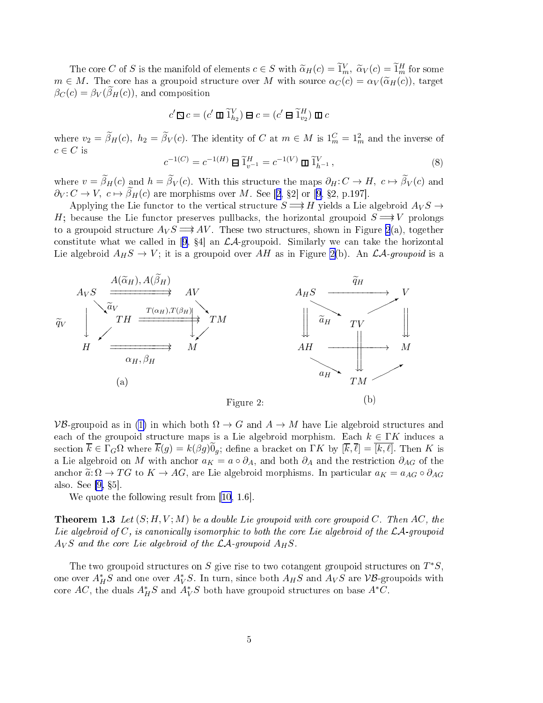<span id="page-4-0"></span>The core C of S is the manifold of elements  $c \in S$  with  $\widetilde{\alpha}_H(c) = \widetilde{1}_m^V$ ,  $\widetilde{\alpha}_V(c) = \widetilde{1}_m^H$  for some  $m \in M$ . The core has a groupoid structure over M with source  $\alpha_C(c) = \alpha_V(\widetilde{\alpha}_H(c))$ , target  $\beta_C(c) = \beta_V(\beta_H(c))$ , and composition

$$
c'\mathop{\boxtimes} c=(c'\mathop{\mathrm{I\!I}}\nolimits\widetilde 1_{h_2}^V)\mathop{\boxtimes} c=(c'\mathop{\boxtimes}\nolimits\widetilde 1_{v_2}^H)\mathop{\mathrm{I\!I}\nolimits} c
$$

where  $v_2 = \tilde{\beta}_H(c)$ ,  $h_2 = \tilde{\beta}_V(c)$ . The identity of C at  $m \in M$  is  $1_m^C = 1_m^2$  and the inverse of  $c \in C$  is

$$
c^{-1(C)} = c^{-1(H)} \boxminus \widetilde{1}_{v^{-1}}^H = c^{-1(V)} \boxplus \widetilde{1}_{h^{-1}}^V, \tag{8}
$$

where  $v = \beta_H(c)$  and  $h = \beta_V(c)$ . With this structure the maps  $\partial_H : C \to H$ ,  $c \mapsto \beta_V(c)$  and  $\partial_V \colon C \to V, \ c \mapsto \widetilde{\beta}_H(c)$  are morphisms over M. See [[2,](#page-20-0) §2] or [[9](#page-20-0), §2, p.197].

Applying the Lie functor to the vertical structure  $S \Longrightarrow H$  yields a Lie algebroid  $A_V S \rightarrow$ H; because the Lie functor preserves pullbacks, the horizontal groupoid  $S \Longrightarrow V$  prolongs to a groupoid structure  $A_V S \longrightarrow AV$ . These two structures, shown in Figure 2(a), together constitute what we called in [[9](#page-20-0),  $\S 4$ ] an  $\mathcal{LA}$ -groupoid. Similarly we can take the horizontal Lie algebroid  $A_H S \to V$ ; it is a groupoid over AH as in Figure 2(b). An  $\mathcal{LA}\text{-}groupoid$  is a



 $VB$ -groupoid as in [\(1\)](#page-2-0) in which both  $\Omega \to G$  and  $A \to M$  have Lie algebroid structures and each of the groupoid structure maps is a Lie algebroid morphism. Each  $k \in \Gamma K$  induces a section  $\overline{k} \in \Gamma_G \Omega$  where  $\overline{k}(g) = k(\beta g) \overline{0}_g$ ; define a bracket on  $\Gamma K$  by  $[\overline{k}, \overline{\ell}] = [k, \ell]$ . Then K is a Lie algebroid on M with anchor  $a_K = a \circ \partial_A$ , and both  $\partial_A$  and the restriction  $\partial_{AG}$  of the anchor  $\tilde{a}: \Omega \to TG$  to  $K \to AG$ , are Lie algebroid morphisms. In particular  $a_K = a_{AG} \circ \partial_{AG}$ also. See  $[9, §5]$  $[9, §5]$ .

We quote the following result from  $[10, 1.6]$  $[10, 1.6]$  $[10, 1.6]$ .

**Theorem 1.3** Let  $(S; H, V; M)$  be a double Lie groupoid with core groupoid C. Then AC, the Lie algebroid of  $C$ , is canonically isomorphic to both the core Lie algebroid of the  $\mathcal{LA}$ -groupoid  $A_V S$  and the core Lie algebroid of the  $\mathcal{LA}$ -groupoid  $A_H S$ .

The two groupoid structures on S give rise to two cotangent groupoid structures on  $T^*S$ , one over  $A_H^*S$  and one over  $A_V^*S$ . In turn, since both  $A_HS$  and  $A_VS$  are  ${\mathcal{VB}}$ -groupoids with core  $AC$ , the duals  $A_H^*S$  and  $A_V^*S$  both have groupoid structures on base  $A^*C$ .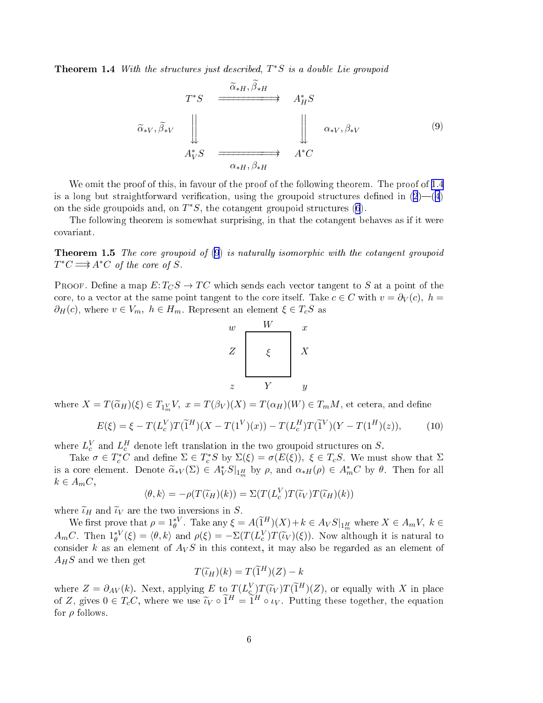Theorem 1.4 With the structures just described,  $T^*S$  is a double Lie groupoid

$$
T^*S \xrightarrow{\widetilde{\alpha}_{*H}, \beta_{*H}} A_H^*S
$$
  
\n
$$
\widetilde{\alpha}_{*V}, \widetilde{\beta}_{*V} \xrightarrow{\downarrow} \qquad \qquad \downarrow \qquad \qquad \downarrow \qquad \qquad \alpha_{*V}, \beta_{*V}
$$
  
\n
$$
A_V^*S \xrightarrow{\alpha_{*H}, \beta_{*H}} A^*C
$$
  
\n(9)

We omit the proof of this, in favour of the proof of the following theorem. The proof of [1.4](#page-4-0) is a long but straightforward verification, using the groupoid structures defined in  $(2)$  $(2)$ — $(4)$  $(4)$  $(4)$ on the side groupoids and, on  $T^*S$ , the cotangent groupoid structures [\(6](#page-3-0)).

The following theorem is somewhat surprising, in that the otangent behaves as if it were ovariant.

**Theorem 1.5** The core groupoid of  $(9)$  is naturally isomorphic with the cotangent groupoid  $T^*C \Longrightarrow A^*C$  of the core of S.

PROOF. Define a map  $E: T_C S \to TC$  which sends each vector tangent to S at a point of the core, to a vector at the same point tangent to the core itself. Take  $c \in C$  with  $v = \partial_V(c)$ ,  $h =$  $\partial_H(c)$ , where  $v \in V_m$ ,  $h \in H_m$ . Represent an element  $\xi \in T_cS$  as



where  $X = T(\widetilde{\alpha}_H)(\xi) \in T_{1^V_m}V, \ x = T(\beta_V)(X) = T(\alpha_H)(W) \in T_mM,$  et cetera, and define

$$
E(\xi) = \xi - T(L_c^V)T(\tilde{1}^H)(X - T(1^V)(x)) - T(L_c^H)T(\tilde{1}^V)(Y - T(1^H)(z)),
$$
 (10)

where  $L_c^V$  and  $L_c^H$  denote left translation in the two groupoid structures on S.

Take  $\sigma \in T_c^*C$  and define  $\Sigma \in T_c^*S$  by  $\Sigma(\xi) = \sigma(E(\xi))$ ,  $\xi \in T_cS$ . We must show that  $\Sigma$ is a core element. Denote  $\widetilde{\alpha}_{*V}(\Sigma) \in A_V^* S|_{1^H_m}$  by  $\rho$ , and  $\alpha_{*H}(\rho) \in A_m^* C$  by  $\theta$ . Then for all  $k \in A_m C$ ,

$$
\langle \theta, k \rangle = -\rho(T(\widetilde{\iota}_H)(k)) = \Sigma(T(L_c^V)T(\widetilde{\iota}_V)T(\widetilde{\iota}_H)(k))
$$

where  $\widetilde{\iota}_H$  and  $\widetilde{\iota}_V$  are the two inversions in S.

We first prove that  $\rho = 1_{\theta}^{*V}$ . Take any  $\xi = A(\widetilde{1}^H)(X) + k \in A_V S|_{1^H_m}$  where  $X \in A_mV$ ,  $k \in$  $A_mC$ . Then  $1_\theta^{*V}(\xi) = \langle \theta, k \rangle$  and  $\rho(\xi) = -\Sigma(T(L_c^V)T(\tilde{\iota}_V)(\xi))$ . Now although it is natural to consider k as an element of  $A_V S$  in this context, it may also be regarded as an element of  $A_H S$  and we then get

$$
T(\widetilde{\iota}_H)(k) = T(\widetilde{1}^H)(Z) - k
$$

where  $Z = \partial_{AV}(k)$ . Next, applying E to  $T(L_{\mathcal{L},\mathcal{I}}^V)T(\tilde{\iota}_V)T(\tilde{\iota}^H)(Z)$ , or equally with X in place of Z, gives  $0 \in T_cC$ , where we use  $\tilde{\iota}_V \circ \tilde{1}^H = \tilde{1}^H \circ \iota_V$ . Putting these together, the equation for  $\rho$  follows.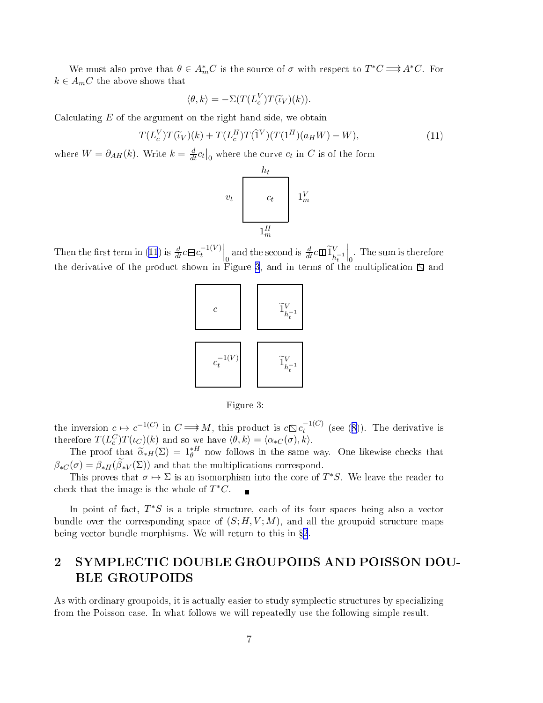<span id="page-6-0"></span>We must also prove that  $\theta \in A_m^*C$  is the source of  $\sigma$  with respect to  $T^*C \Longrightarrow A^*C$ . For  $k \in A_m C$  the above shows that

$$
\langle \theta, k \rangle = -\Sigma (T(L_c^V) T(\widetilde{\iota}_V)(k)).
$$

Calculating  $E$  of the argument on the right hand side, we obtain

$$
T(L_c^V)T(\widetilde{\iota}_V)(k) + T(L_c^H)T(\widetilde{1}^V)(T(1^H)(a_HW) - W), \tag{11}
$$

where  $W = \partial_{AH}(k)$ . Write  $k = \frac{d}{dt} c_t \big|_0$  where the curve  $c_t$  in C is of the form

$$
v_t \begin{array}{|c|c|} \hline h_t \\ & \\ c_t & \\ 1_m^W \\ & \\ & \\ 1_m^H \\ \hline \end{array} \qquad \qquad \begin{array}{|c|c|} \hline h_t \\ & \\ 1_m^V \\ & \\ 1_m^H \\ \hline \end{array}
$$

Then the first term in (11) is  $\frac{d}{dt} c \mathbf{B} c_t^{-1(V)}$ t  $\Big|_0$ and the second is  $\frac{d}{dt}c\mathbf{D}\widetilde{1}_{h}^{V}$  $h_t^{-1}$  $\Big|_0$ . The sum is therefore the derivative of the product shown in Figure 3, and in terms of the multiplication  $\Box$  and



Figure 3:

the inversion  $c \mapsto c^{-1(C)}$  in  $C \Longrightarrow M$ , this product is  $c \mathbb{Q} c_t^{-1(C)}$  $t$  (see (6)). The derivative is therefore  $T(L_c^C)T(\iota_C)(k)$  and so we have  $\langle \theta, k \rangle = \langle \alpha_{*C}(\sigma), k \rangle$ .

The proof that  $\tilde{\alpha}_{*H}(\Sigma) = 1_{\theta}^{*H}$  now follows in the same way. One likewise checks that  $\beta_{*C}(\sigma) = \beta_{*H}(\beta_{*V}(\Sigma))$  and that the multiplications correspond.

This proves that  $\sigma \mapsto \Sigma$  is an isomorphism into the core of  $T^*S$ . We leave the reader to check that the image is the whole of  $T^*C$ .

In point of fact,  $T^*S$  is a triple structure, each of its four spaces being also a vector bundle over the corresponding space of  $(S; H, V; M)$ , and all the groupoid structure maps being vector bundle morphisms. We will return to this in §2.

## 2 SYMPLECTIC DOUBLE GROUPOIDS AND POISSON DOU-BLE GROUPOIDS

As with ordinary groupoids, it is actually easier to study symplectic structures by specializing from the Poisson ase. In what follows we will repeatedly use the following simple result.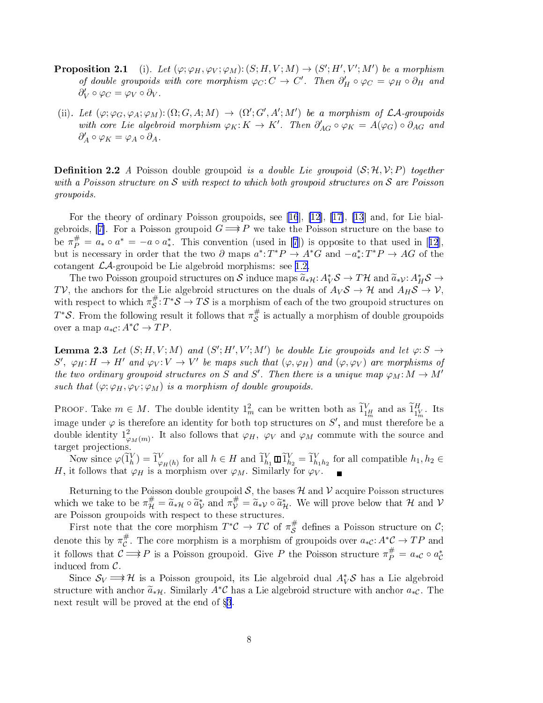- <span id="page-7-0"></span>**Proposition 2.1** (i). Let  $(\varphi; \varphi_H, \varphi_V; \varphi_M) : (S; H, V; M) \to (S'; H', V'; M')$  be a morphism of double groupoids with core morphism  $\varphi_C: C \to C'$ . Then  $\partial'_H \circ \varphi_C = \varphi_H \circ \partial_H$  and  $\partial'_V \circ \varphi_C = \varphi_V \circ \partial_V$ .
- (ii). Let  $(\varphi; \varphi_G, \varphi_A; \varphi_M) : (\Omega; G, A; M) \to (\Omega'; G', A'; M')$  be a morphism of  $\mathcal{LA}\text{-groupoids}$ with core Lie algebroid morphism  $\varphi_K: K \to K'$ . Then  $\partial'_{AG} \circ \varphi_K = A(\varphi_G) \circ \partial_{AG}$  and  $\partial'_A \circ \varphi_K = \varphi_A \circ \partial_A$ .

**Definition 2.2** A Poisson double groupoid is a *double Lie groupoid*  $(S; \mathcal{H}, \mathcal{V}; P)$  together with a Poisson structure on  $S$  with respect to which both groupoid structures on  $S$  are Poisson groupoids.

For the theory of ordinary Poisson groupoids, see [[16](#page-20-0)],  $[12]$  $[12]$ ,  $[17]$ ,  $[13]$  $[13]$  and, for Lie bial-gebroids, [[7](#page-20-0)]. For a Poisson groupoid  $G \implies P$  we take the Poisson structure on the base to be  $\pi_P^{\#} = a_* \circ a^* = -a \circ a_*^*$ . This convention (used in [[7](#page-20-0)]) is opposite to that used in [[12](#page-20-0)], but is necessary in order that the two  $\partial$  maps  $a^*: T^*P \to A^*G$  and  $-a^*: T^*P \to AG$  of the cotangent  $\mathcal{LA}$ -groupoid be Lie algebroid morphisms: see [1.2.](#page-3-0)

The two Poisson groupoid structures on  $S$  induce maps  $\widetilde{a}_{*\mathcal{H}}: A_V^*\mathcal{S} \to T\mathcal{H}$  and  $\widetilde{a}_{*\mathcal{V}}: A_H^*\mathcal{S} \to$ TV, the anchors for the Lie algebroid structures on the duals of  $A_V S \to H$  and  $A_H S \to V$ , with respect to which  $\pi_S^{\#}$  $\mathcal{L}^{\#} S: T^* \mathcal{S} \to T \mathcal{S}$  is a morphism of each of the two groupoid structures on  $T^*\mathcal{S}$ . From the following result it follows that  $\pi_{\mathcal{S}}^{\#}$  $\mathcal S$  is actually a morphism of double groupoids over a map  $a_{*c}: A^*\mathcal{C} \to TP$ .

**Lemma 2.3** Let  $(S; H, V; M)$  and  $(S'; H', V'; M')$  be double Lie groupoids and let  $\varphi: S \to$  $S', \varphi_H: H \to H'$  and  $\varphi_V: V \to V'$  be maps such that  $(\varphi, \varphi_H)$  and  $(\varphi, \varphi_V)$  are morphisms of the two ordinary groupoid structures on S and S'. Then there is a unique map  $\varphi_M: M \to M'$ such that  $(\varphi; \varphi_H, \varphi_V; \varphi_M)$  is a morphism of double groupoids.

PROOF. Take  $m \in M$ . The double identity  $1_m^2$  can be written both as  $\widetilde{1}_{1_m^H}^V$  and as  $\widetilde{1}_{1_m^1}^H$  $1_m^V$ . Its image under  $\varphi$  is therefore an identity for both top structures on  $S',$  and must therefore be a double identity  $1^2_{\varphi_M(m)}$ . It also follows that  $\varphi_H$ ,  $\varphi_V$  and  $\varphi_M$  commute with the source and

Now since  $\varphi(\tilde{1}_h^V) = \tilde{1}_{\varphi_H(h)}^V$  for all  $h \in H$  and  $\tilde{1}_{h_1}^V \square \tilde{1}_{h_2}^V = \tilde{1}_{h_1h_2}^V$  for all compatible  $h_1, h_2 \in$ H, it follows that  $\varphi_H$  is a morphism over  $\varphi_M$ . Similarly for  $\varphi_V$ .

Returning to the Poisson double groupoid  $S$ , the bases  $H$  and  $V$  acquire Poisson structures which we take to be  $\pi^{\#}_{\mathcal{H}} = \widetilde{a}_{*\mathcal{H}} \circ \widetilde{a}_{\mathcal{V}}^*$  and  $\pi^{\#}_{\mathcal{V}} = \widetilde{a}_{*\mathcal{V}} \circ \widetilde{a}_{\mathcal{H}}^*$ . We will prove below that  $\mathcal{H}$  and  $\mathcal{V}$ are Poisson groupoids with respect to these structures.

First note that the core morphism  $T^*\mathcal{C} \to T\mathcal{C}$  of  $\pi_S^{\#}$  $\stackrel{\#}{\mathcal{S}}$  defines a Poisson structure on  $\mathcal{C};$ denote this by  $\pi^{\#}_{\mathcal{C}}$ #. The core morphism is a morphism of groupoids over  $a_{*}\mathcal{C}: A^{*}\mathcal{C} \to TP$  and it follows that  $C \Longrightarrow P$  is a Poisson groupoid. Give P the Poisson structure  $\pi_P^{\#} = a_{*C} \circ a_{C}^{*}$ indu
ed from C .

Since  $S_V \Longrightarrow \mathcal{H}$  is a Poisson groupoid, its Lie algebroid dual  $A_V^*\mathcal{S}$  has a Lie algebroid structure with anchor  $\tilde{a}_{*H}$ . Similarly  $A^*\mathcal{C}$  has a Lie algebroid structure with anchor  $a_{*\mathcal{C}}$ . The next result will be proved at the end of §[3](#page-10-0).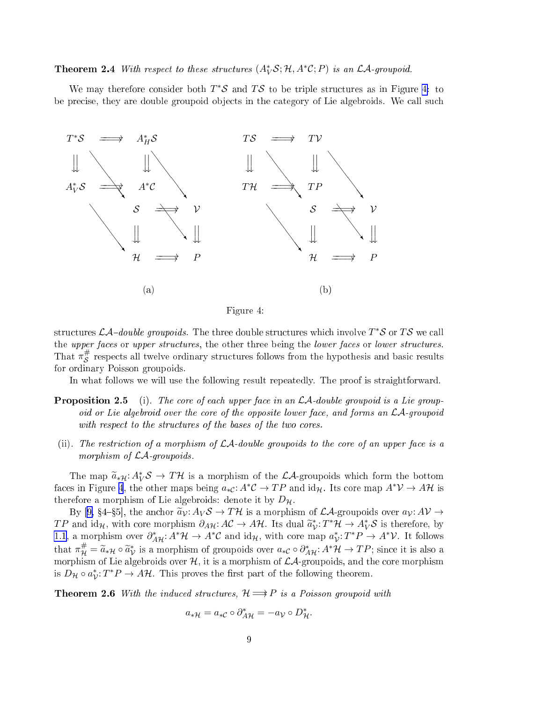<span id="page-8-0"></span>**Theorem 2.4** With respect to these structures  $(A_V^*S; H, A^*C; P)$  is an  $\mathcal{LA}\text{-groupoid.}$ 

We may therefore consider both  $T^*\mathcal{S}$  and  $T\mathcal{S}$  to be triple structures as in Figure 4: to be precise, they are double groupoid objects in the category of Lie algebroids. We call such



Figure 4:

structures  $\mathcal{LA}\text{-double groupoids}.$  The three double structures which involve  $T^*\mathcal{S}$  or  $T\mathcal{S}$  we call the upper faces or upper structures, the other three being the lower faces or lower structures. That  $\pi_S^{\#}$  $\mathcal S$  respects all twelve ordinary structures follows from the hypothesis and basic results for ordinary Poisson groupoids.

In what follows we will use the following result repeatedly. The proof is straightforward.

- **Proposition 2.5** (i). The core of each upper face in an  $\mathcal{LA}\text{-double groupoid is a Lie group-}$ oid or Lie algebroid over the core of the opposite lower face, and forms an  $\mathcal{LA}$ -groupoid with respect to the structures of the bases of the two cores.
- (ii). The restriction of a morphism of  $\mathcal{LA}\$ -double groupoids to the core of an upper face is a morphism of  $LA$ -groupoids.

The map  $\widetilde{a}_{*H}: A_V^*\mathcal{S} \to T\mathcal{H}$  is a morphism of the  $\mathcal{LA}$ -groupoids which form the bottom faces in Figure 4, the other maps being  $a_{*c}: A^*\mathcal{C} \to TP$  and  $\mathrm{id}_{\mathcal{H}}$ . Its core map  $A^*\mathcal{V} \to A\mathcal{H}$  is therefore a morphism of Lie algebroids: denote it by  $D_{\mathcal{H}}$ .

By [\[9,](#page-20-0) §4-§5], the anchor  $\tilde{a}_{\mathcal{V}}: A_{\mathcal{V}} S \to T \mathcal{H}$  is a morphism of  $\mathcal{LA}$ -groupoids over  $a_{\mathcal{V}}: A\mathcal{V} \to$  $TP$  and  $\mathrm{id}_{\mathcal{H}}$ , with core morphism  $\partial_{A\mathcal{H}}: A\mathcal{C} \to A\mathcal{H}$ . Its dual  $\widetilde{a}_{\mathcal{V}}^* : T^*\mathcal{H} \to A_V^*\mathcal{S}$  is therefore, by [1.1,](#page-2-0) a morphism over  $\partial_{A\mathcal{H}}^* : A^*\mathcal{H} \to A^*\mathcal{C}$  and  $\mathrm{id}_{\mathcal{H}}$ , with core map  $a_{\mathcal{V}}^* : T^*P \to A^*\mathcal{V}$ . It follows that  $\pi^{\#}_{\mathcal{H}} = \widetilde{a}_{* \mathcal{H}} \circ \widetilde{a}_{\mathcal{V}}^{*}$  is a morphism of groupoids over  $a_{* \mathcal{C}} \circ \partial_{A \mathcal{H}}^{*}: A^{*} \mathcal{H} \to TP$ ; since it is also a morphism of Lie algebroids over  $H$ , it is a morphism of  $LA$ -groupoids, and the core morphism is  $D_{\mathcal{H}} \circ a_{\mathcal{V}}^* : T^*P \to A\mathcal{H}$ . This proves the first part of the following theorem.

**Theorem 2.6** With the induced structures,  $\mathcal{H} \Longrightarrow P$  is a Poisson groupoid with

$$
a_{*\mathcal{H}} = a_{*\mathcal{C}} \circ \partial_{A\mathcal{H}}^* = -a_{\mathcal{V}} \circ D_{\mathcal{H}}^*.
$$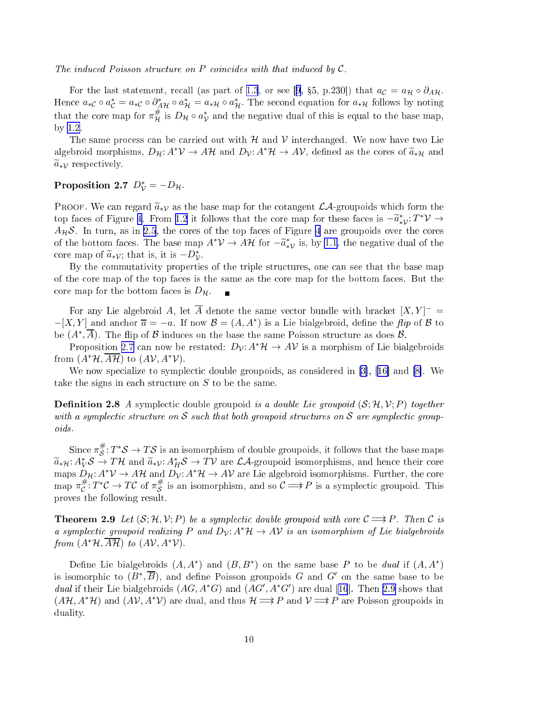<span id="page-9-0"></span>The induced Poisson structure on P coincides with that induced by  $C$ .

For the last statement, recall (as part of [1.3](#page-4-0), or see [[9](#page-20-0), §5, p.230]) that  $a_{\mathcal{C}} = a_{\mathcal{H}} \circ \partial_{A} \mathcal{H}$ . Hence  $a_{*c} \circ a_{c}^{*} = a_{*c} \circ \partial_{A^{c}}^{*} \partial_{A^{c}} = a_{*H} \circ a_{H}^{*}$ . The second equation for  $a_{*H}$  follows by noting that the core map for  $\pi^{\#}_{\mathcal{H}}$  is  $D_{\mathcal{H}} \circ a_{\mathcal{V}}^{*}$  and the negative dual of this is equal to the base map, by [1.2.](#page-3-0)

The same process can be carried out with  $\mathcal H$  and  $\mathcal V$  interchanged. We now have two Lie algebroid morphisms,  $D_{\mathcal{H}}: A^*\mathcal{V} \to A\mathcal{H}$  and  $D_{\mathcal{V}}: A^*\mathcal{H} \to A\mathcal{V}$ , defined as the cores of  $\tilde{a}_{*\mathcal{H}}$  and  $\widetilde{a}_{\ast\mathcal{V}}$  respectively.

### Proposition 2.7  $D_{\mathcal{V}}^* = -D_{\mathcal{H}}$ .

PROOF. We can regard  $\tilde{a}_{*\mathcal{V}}$  as the base map for the cotangent  $\mathcal{LA}$ -groupoids which form the top faces of Figure [4.](#page-8-0) From [1.2](#page-3-0) it follows that the core map for these faces is  $-\tilde{a}_{*\mathcal{V}}^*:\mathbb{Z}^*\mathcal{V} \to$  $A_{\mathcal{H}}\mathcal{S}$ . In turn, as in [2.5](#page-8-0), the cores of the top faces of Figure [4](#page-8-0) are groupoids over the cores of the bottom faces. The base map  $A^*\mathcal{V} \to A\mathcal{H}$  for  $-\tilde{a}_{*\mathcal{V}}^*$  is, by [1.1](#page-2-0), the negative dual of the core map of  $\widetilde{a}_{\ast}\gamma$ ; that is, it is  $-D_{\mathcal{V}}^*$ .

By the commutativity properties of the triple structures, one can see that the base map of the ore map of the top fa
es is the same as the ore map for the bottom fa
es. But the core map for the bottom faces is  $D_{\mathcal{H}}$ .

For any Lie algebroid A, let  $\overline{A}$  denote the same vector bundle with bracket  $[X, Y]^- =$  $-[X,Y]$  and anchor  $\overline{a} = -a$ . If now  $\mathcal{B} = (A, A^*)$  is a Lie bialgebroid, define the flip of  $\mathcal B$  to be  $(A^*, \overline{A})$ . The flip of  $\mathcal B$  induces on the base the same Poisson structure as does  $\mathcal B$ .

Proposition 2.7 can now be restated:  $D_{\mathcal{V}}: A^*\mathcal{H} \to A\mathcal{V}$  is a morphism of Lie bialgebroids from  $(A^*\mathcal{H}, A\mathcal{H})$  to  $(A\mathcal{V}, A^*\mathcal{V})$ .

We now specialize to symplectic double groupoids, as considered in [3], [16] and [8]. We take the signs in each structure on  $S$  to be the same.

**Definition 2.8** A symplectic double groupoid is a double Lie groupoid  $(S; \mathcal{H}, \mathcal{V}; P)$  together with a symplectic structure on S such that both groupoid structures on S are symplectic groupoids.

Since  $\pi_{\mathcal{S}}^{\#}$  $^{\#}_{\mathcal{S}}: T^*\mathcal{S} \to T\mathcal{S}$  is an isomorphism of double groupoids, it follows that the base maps  $\widetilde{a}_{*\mathcal{H}}: A^*_{V} \mathcal{S} \to T\mathcal{H}$  and  $\widetilde{a}_{*\mathcal{V}}: A^*_{H} \mathcal{S} \to T\mathcal{V}$  are  $\mathcal{LA}$ -groupoid isomorphisms, and hence their core maps  $D_{\mathcal{H}}: A^*\mathcal{V} \to A\mathcal{H}$  and  $D_{\mathcal{V}}: A^*\mathcal{H} \to A\mathcal{V}$  are Lie algebroid isomorphisms. Further, the core map  $\pi^{\#}_{\mathcal{C}}$  $_{\mathcal{C}}^{\#}:T^*\mathcal{C}\to T\mathcal{C}$  of  $\pi_{\mathcal{S}}^{\#}$  $\frac{\#}{\mathcal{S}}$  is an isomorphism, and so  $\mathcal{C} \Longrightarrow P$  is a symplectic groupoid. This proves the following result.

**Theorem 2.9** Let  $(S; \mathcal{H}, \mathcal{V}; P)$  be a symplectic double groupoid with core  $C \Longrightarrow P$ . Then C is a symplectic groupoid realizing P and  $D_v: A^*\mathcal{H} \to A\mathcal{V}$  is an isomorphism of Lie bialgebroids from  $(A^*\mathcal{H}, A\mathcal{H})$  to  $(A\mathcal{V}, A^*\mathcal{V})$ .

Define Lie bialgebroids  $(A, A^*)$  and  $(B, B^*)$  on the same base P to be *dual* if  $(A, A^*)$ is isomorphic to  $(B^*, \overline{B})$ , and define Poisson groupoids G and G' on the same base to be *dual* if their Lie bialgebroids  $(AG, A^*G)$  and  $(AG', A^*G')$  are dual [[16](#page-20-0)]. Then 2.9 shows that  $(A\mathcal{H}, A^*\mathcal{H})$  and  $(A\mathcal{V}, A^*\mathcal{V})$  are dual, and thus  $\mathcal{H} \Longrightarrow P$  and  $\mathcal{V} \Longrightarrow P$  are Poisson groupoids in duality.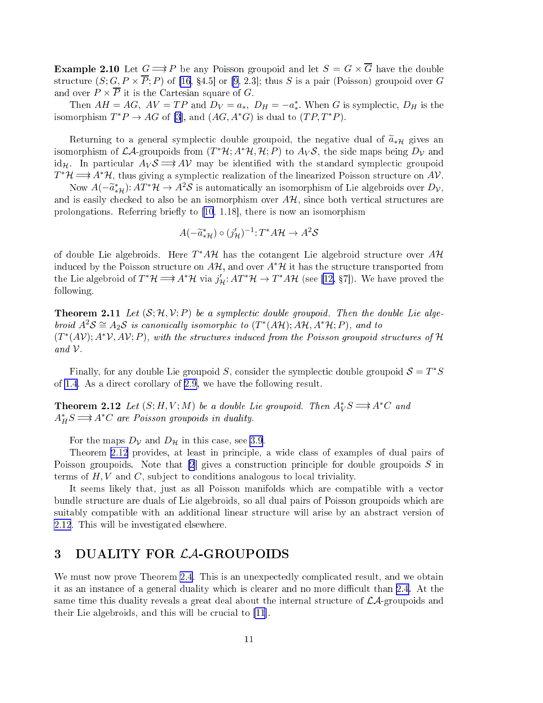<span id="page-10-0"></span>**Example 2.10** Let  $G \implies P$  be any Poisson groupoid and let  $S = G \times \overline{G}$  have the double structure  $(S; G, P \times \overline{P}; P)$  of [\[16](#page-20-0), §4.5] or [\[9,](#page-20-0) 2.3]; thus S is a pair (Poisson) groupoid over G and over  $P \times \overline{P}$  it is the Cartesian square of G.

Then  $AH = AG$ ,  $AV = TP$  and  $D_V = a_*$ ,  $D_H = -a_*^*$ . When G is symplectic,  $D_H$  is the isomorphism  $T^*P \to AG$  of [3], and  $(AG, A^*G)$  is dual to  $(TP, T^*P)$ .

Returning to a general symplectic double groupoid, the negative dual of  $\tilde{a}_{*H}$  gives an isomorphism of  $LA$ -groupoids from  $(T^*\mathcal{H}; A^*\mathcal{H}, \mathcal{H}; P)$  to  $A_V\mathcal{S}$ , the side maps being  $D_V$  and id<sub>H</sub>. In particular  $A_V \mathcal{S} \Longrightarrow A \mathcal{V}$  may be identified with the standard symplectic groupoid  $T^*\mathcal{H} \Longrightarrow A^*\mathcal{H}$ , thus giving a symplectic realization of the linearized Poisson structure on  $A\mathcal{V}$ .

Now  $A(-\widetilde{a}^*_{*\mathcal{H}}): AT^*\mathcal{H}\to A^2\mathcal{S}$  is automatically an isomorphism of Lie algebroids over  $D_\mathcal{V},$ and is easily checked to also be an isomorphism over  $A\mathcal{H}$ , since both vertical structures are prolongations. Referring briefly to  $[10, 1.18]$  $[10, 1.18]$ , there is now an isomorphism

$$
A(-\tilde{a}^*_{*\mathcal{H}}) \circ (j'_{\mathcal{H}})^{-1} : T^* A \mathcal{H} \to A^2 \mathcal{S}
$$

of double Lie algebroids. Here  $T^*A\mathcal{H}$  has the cotangent Lie algebroid structure over  $A\mathcal{H}$ induced by the Poisson structure on  $A\mathcal{H}$ , and over  $A^*\mathcal{H}$  it has the structure transported from the Lie algebroid of  $T^*\mathcal{H} \Longrightarrow A^*\mathcal{H}$  via  $j'_\mathcal{H}: AT^*\mathcal{H} \to T^*A\mathcal{H}$  (see [[12,](#page-20-0) §7]). We have proved the following.

**Theorem 2.11** Let  $(S; \mathcal{H}, \mathcal{V}; P)$  be a symplectic double groupoid. Then the double Lie algebroid  $A^2S \cong A_2S$  is canonically isomorphic to  $(T^*(A\mathcal{H}); A\mathcal{H}, A^*\mathcal{H}; P)$ , and to  $(T^*(AV); A^*V, AV; P)$ , with the structures induced from the Poisson groupoid structures of H and  $\mathcal V$ .

Finally, for any double Lie groupoid S, consider the symplectic double groupoid  $\mathcal{S} = T^*S$ of [1.4](#page-4-0). As a dire
t orollary of [2.9](#page-9-0), we have the following result.

**Theorem 2.12** Let  $(S; H, V; M)$  be a double Lie groupoid. Then  $A_V^*S \Longrightarrow A^*C$  and  $A_H^*S \Longrightarrow A^*C$  are Poisson groupoids in duality.

For the maps  $D_{\mathcal{V}}$  and  $D_{\mathcal{H}}$  in this case, see [3.9](#page-16-0).

Theorem 2.12 provides, at least in principle, a wide class of examples of dual pairs of Poisson groupoids. Note that  $[2]$  $[2]$  gives a construction principle for double groupoids S in terms of  $H, V$  and  $C$ , subject to conditions analogous to local triviality.

It seems likely that, just as all Poisson manifolds which are compatible with a vector bundle stru
ture are duals of Lie algebroids, so all dual pairs of Poisson groupoids whi
h are suitably compatible with an additional linear structure will arise by an abstract version of 2.12. This will be investigated elsewhere.

### 3 DUALITY FOR *CA*-GROUPOIDS

We must now prove Theorem [2.4.](#page-7-0) This is an unexpectedly complicated result, and we obtain it as an instance of a general duality which is clearer and no more difficult than [2.4.](#page-7-0) At the same time this duality reveals a great deal about the internal structure of  $\mathcal{LA}$ -groupoids and their Lie algebroids, and this will be crucial to  $[11]$  $[11]$ .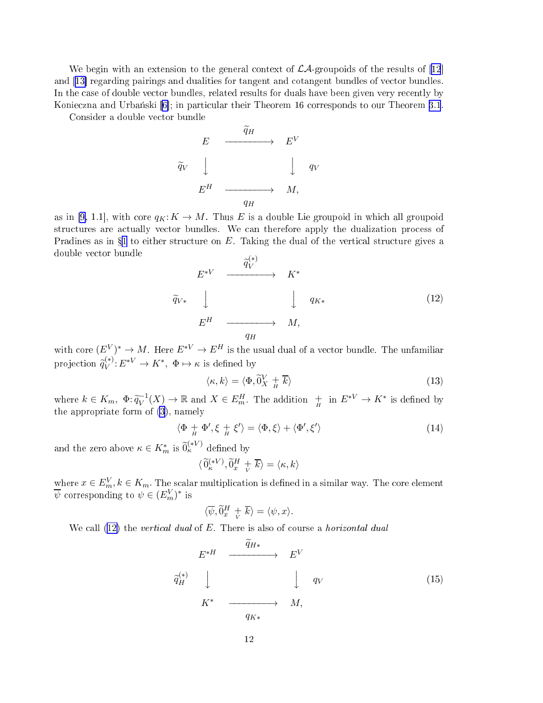<span id="page-11-0"></span>We begin with an extension to the general context of  $\mathcal{LA}$ -groupoids of the results of [[12](#page-20-0)] and [13] regarding pairings and dualities for tangent and cotangent bundles of vector bundles. In the case of double vector bundles, related results for duals have been given very recently by Konieczna and Urbański [6]; in particular their Theorem 16 corresponds to our Theorem [3.1](#page-12-0).

Consider a double ve
tor bundle

$$
\begin{array}{ccc}\nE & \xrightarrow{\widetilde{q}_H} & E^V \\
\widetilde{q}_V & \downarrow & & \downarrow q_V \\
E^H & \xrightarrow{q_H} & M,\n\end{array}
$$

as in [\[9,](#page-20-0) 1.1], with core  $q_K: K \to M$ . Thus E is a double Lie groupoid in which all groupoid structures are actually vector bundles. We can therefore apply the dualization process of Pradines as in  $\S1$  $\S1$  to either structure on E. Taking the dual of the vertical structure gives a double ve
tor bundle  $(x)$ 

$$
E^{*V} \xrightarrow{\widetilde{q}_{V}^{*}} K^{*}
$$
\n
$$
\widetilde{q}_{V*} \downarrow \qquad \qquad \downarrow \qquad q_{K*}
$$
\n
$$
E^{H} \xrightarrow{\qquad \qquad q_{H}} M,
$$
\n
$$
(12)
$$

with core  $(E^V)^* \to M$ . Here  $E^{*V} \to E^H$  is the usual dual of a vector bundle. The unfamiliar projection  $\widetilde{q}_{V}^{(*)}$  $V^{(*)}: E^{*V} \to K^*, \ \Phi \mapsto \kappa$  is defined by

$$
\langle \kappa, k \rangle = \langle \Phi, \tilde{0}_X^V + \overline{k} \rangle \tag{13}
$$

where  $k \in K_m$ ,  $\Phi: \widetilde{q}_V^{-1}(X) \to \mathbb{R}$  and  $X \in E_m^H$ . The addition  $\frac{1}{H}$  in  $E^{*V} \to K^*$  is defined by the appropriate form of [\(3\)](#page-2-0), namely

$$
\langle \Phi + \Phi', \xi + \xi' \rangle = \langle \Phi, \xi \rangle + \langle \Phi', \xi' \rangle \tag{14}
$$

and the zero above  $\kappa \in K_m^*$  is  $\widetilde{0}_{\kappa}^{(*V)}$  defined by

$$
\langle \, \widetilde{\mathbf{0}}_{\kappa}^{(*V)} , \widetilde{\mathbf{0}}_x^H \, + \overline{k} \rangle = \langle \kappa, k \rangle
$$

where  $x \in E_m^V, k \in K_m$ . The scalar multiplication is defined in a similar way. The core element  $\overline{\psi}$  corresponding to  $\psi \in (E_m^V)^*$  is

$$
\langle \overline{\psi}, \widetilde{0}^H_x \, \underset{V}{+} \, \overline{k} \rangle = \langle \psi, x \rangle.
$$

We call  $(12)$  the vertical dual of E. There is also of course a horizontal dual

$$
E^{*H} \xrightarrow{\widetilde{q}_{H*}} E^{V}
$$
\n
$$
\widetilde{q}_{H}^{(*)} \qquad \downarrow \qquad \downarrow \qquad q_{V}
$$
\n
$$
K^{*} \xrightarrow{\qquad \qquad q_{K*}} M,
$$
\n
$$
(15)
$$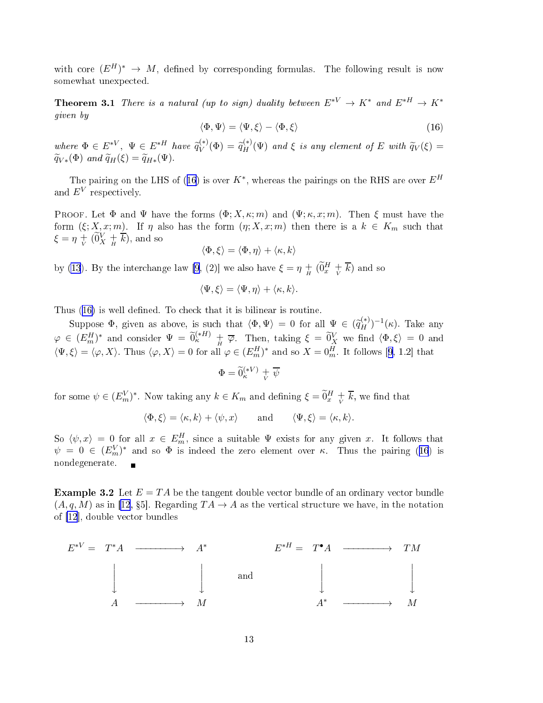<span id="page-12-0"></span>with core  $(E^H)^* \to M$ , defined by corresponding formulas. The following result is now somewhat unexpe
ted.

**Theorem 3.1** There is a natural (up to sign) duality between  $E^{*V} \to K^*$  and  $E^{*H} \to K^*$ given by

$$
\langle \Phi, \Psi \rangle = \langle \Psi, \xi \rangle - \langle \Phi, \xi \rangle \tag{16}
$$

where  $\Phi \in E^{*V}, \ \Psi \in E^{*H}$  have  $\widetilde{q}_V^{(*)}$  $\widetilde{q}_{H}^{(*)}(\Phi) = \widetilde{q}_{H}^{(*)}$  $H^{(*)}_{H}(\Psi)$  and  $\xi$  is any element of E with  $\widetilde{q}_V(\xi) = 0$  $\widetilde{q}_{V*}(\Phi)$  and  $\widetilde{q}_{H}(\xi) = \widetilde{q}_{H*}(\Psi)$ .

The pairing on the LHS of (16) is over  $K^*$ , whereas the pairings on the RHS are over  $E^H$ and  $E^V$  respectively.

PROOF. Let  $\Phi$  and  $\Psi$  have the forms  $(\Phi; X, \kappa; m)$  and  $(\Psi; \kappa, x; m)$ . Then  $\xi$  must have the form  $(\xi; X, x; m)$ . If  $\eta$  also has the form  $(\eta; X, x; m)$  then there is a  $k \in K_m$  such that  $\xi = \eta + \widetilde{(0X + \overline{k})}$ , and so

$$
\langle \Phi, \xi \rangle = \langle \Phi, \eta \rangle + \langle \kappa, k \rangle
$$

by [\(13](#page-11-0)). By the interchange law [\[9,](#page-20-0) (2)] we also have  $\xi = \eta + \left(\widetilde{0}^H_x + \overline{k}\right)$  and so

$$
\langle \Psi, \xi \rangle = \langle \Psi, \eta \rangle + \langle \kappa, k \rangle.
$$

Suppose  $\Phi$ , given as above, is such that  $\langle \Phi, \Psi \rangle = 0$  for all  $\Psi \in (\tilde{q}_H^{(*)})^{-1}(\kappa)$ . Take any  $\varphi\,\in\, (E_m^H)^*\,\,\,{\rm and}\,\,\, {\rm consider}\,\,\,\Psi\,\,=\,\widetilde 0_{\kappa}^{(*H)}\,\,+\,\,\overline\varphi.\,\,\,\,{\rm Then},\,\,{\rm taking}\,\,\xi\,\,=\,\widetilde 0_X^V\,\,{\rm we}\,\,{\rm find}\,\,\langle\Phi,\xi\rangle\,=\,0\,\,{\rm and}\,\,$  $\langle \Psi, \xi \rangle = \langle \varphi, X \rangle$ . Thus  $\langle \varphi, X \rangle = 0$  for all  $\varphi \in (E_m^H)^*$  and so  $X = 0_m^H$ . It follows [[9,](#page-20-0) 1.2] that

$$
\Phi = \widetilde{0}_\kappa^{(\ast V)} + \overline{\psi}
$$

for some  $\psi \in (E_m^V)^*$ . Now taking any  $k \in K_m$  and defining  $\xi = \widetilde{0}_x^H + \overline{k}$ , we find that

$$
\langle \Phi, \xi \rangle = \langle \kappa, k \rangle + \langle \psi, x \rangle
$$
 and  $\langle \Psi, \xi \rangle = \langle \kappa, k \rangle$ .

So  $\langle \psi, x \rangle = 0$  for all  $x \in E_m^H$ , since a suitable  $\Psi$  exists for any given x. It follows that  $\psi = 0 \in (E_m^V)^*$  and so  $\Phi$  is indeed the zero element over  $\kappa$ . Thus the pairing (16) is nondegenerate.  $\blacksquare$ 

**Example 3.2** Let  $E = TA$  be the tangent double vector bundle of an ordinary vector bundle  $(A, q, M)$  as in [\[12](#page-20-0), §5]. Regarding  $TA \rightarrow A$  as the vertical structure we have, in the notation of  $[12]$  $[12]$ , double vector bundles

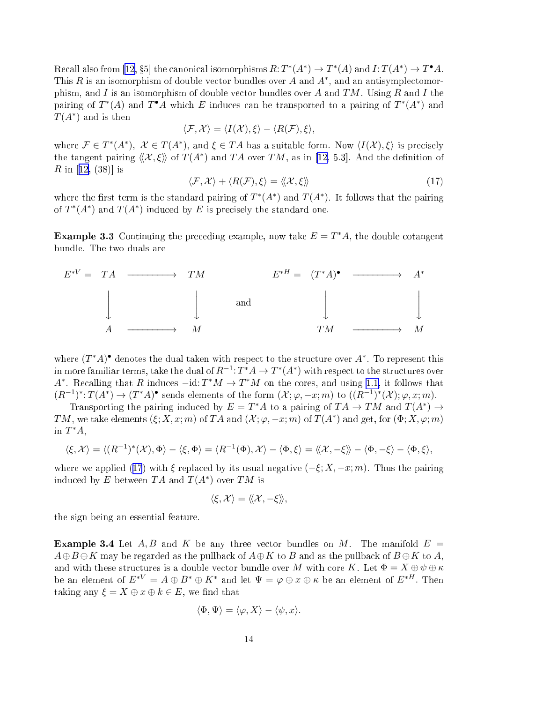<span id="page-13-0"></span>Recall also from [[12,](#page-20-0) §5] the canonical isomorphisms  $R: T^*(A^*) \to T^*(A)$  and  $I: T(A^*) \to T^*A$ . This R is an isomorphism of double vector bundles over A and  $A^*$ , and an antisymplectomorphism, and I is an isomorphism of double vector bundles over A and TM. Using R and I the pairing of  $T^*(A)$  and  $T^{\bullet}A$  which E induces can be transported to a pairing of  $T^*(A^*)$  and  $T(A^*)$  and is then

$$
\langle \mathcal{F}, \mathcal{X} \rangle = \langle I(\mathcal{X}), \xi \rangle - \langle R(\mathcal{F}), \xi \rangle,
$$

where  $\mathcal{F} \in T^*(A^*)$ ,  $\mathcal{X} \in T(A^*)$ , and  $\xi \in TA$  has a suitable form. Now  $\langle I(\mathcal{X}), \xi \rangle$  is precisely the tangent pairing  $\langle\langle X,\xi\rangle\rangle$  of  $T(A^*)$  and TA over TM, as in [\[12,](#page-20-0) 5.3]. And the definition of R in [[12,](#page-20-0) (38)] is

$$
\langle \mathcal{F}, \mathcal{X} \rangle + \langle R(\mathcal{F}), \xi \rangle = \langle \langle \mathcal{X}, \xi \rangle \rangle \tag{17}
$$

where the first term is the standard pairing of  $T^*(A^*)$  and  $T(A^*)$ . It follows that the pairing of  $T^*(A^*)$  and  $T(A^*)$  induced by E is precisely the standard one.

**Example 3.3** Continuing the preceding example, now take  $E = T^*A$ , the double cotangent bundle. The two duals are



where  $(T^*A)$ <sup>•</sup> denotes the dual taken with respect to the structure over  $A^*$ . To represent this in more familiar terms, take the dual of  $R^{-1}: T^*A \to T^*(A^*)$  with respect to the structures over A<sup>\*</sup>. Recalling that R induces  $-\text{id}: T^*M \to T^*M$  on the cores, and using [1.1,](#page-2-0) it follows that  $(R^{-1})^*: T(A^*) \to (T^*A)^{\bullet}$  sends elements of the form  $(\mathcal{X}; \varphi, -x; m)$  to  $((R^{-1})^*(\mathcal{X}); \varphi, x; m)$ .

Transporting the pairing induced by  $E = T^*A$  to a pairing of  $TA \to TM$  and  $T(A^*) \to$ TM, we take elements  $(\xi; X, x; m)$  of TA and  $(\mathcal{X}; \varphi, -x; m)$  of  $T(A^*)$  and get, for  $(\Phi; X, \varphi; m)$ in  $T^*A$ ,

$$
\langle \xi, \mathcal{X} \rangle = \langle (R^{-1})^*(\mathcal{X}), \Phi \rangle - \langle \xi, \Phi \rangle = \langle R^{-1}(\Phi), \mathcal{X} \rangle - \langle \Phi, \xi \rangle = \langle \langle \mathcal{X}, -\xi \rangle \rangle - \langle \Phi, -\xi \rangle - \langle \Phi, \xi \rangle,
$$

where we applied (17) with  $\xi$  replaced by its usual negative  $(-\xi; X, -x; m)$ . Thus the pairing induced by E between  $TA$  and  $T(A^*)$  over  $TM$  is

$$
\langle \xi, \mathcal{X} \rangle = \langle \! \langle \mathcal{X}, -\xi \rangle \! \rangle,
$$

the sign being an essential feature.

**Example 3.4** Let A, B and K be any three vector bundles on M. The manifold  $E =$  $A \oplus B \oplus K$  may be regarded as the pullback of  $A \oplus K$  to B and as the pullback of  $B \oplus K$  to A, and with these structures is a double vector bundle over M with core K. Let  $\Phi = X \oplus \psi \oplus \kappa$ be an element of  $E^{*V} = A \oplus B^* \oplus K^*$  and let  $\Psi = \varphi \oplus x \oplus \kappa$  be an element of  $E^{*H}$ . Then taking any  $\xi = X \oplus x \oplus k \in E$ , we find that

$$
\langle \Phi, \Psi \rangle = \langle \varphi, X \rangle - \langle \psi, x \rangle.
$$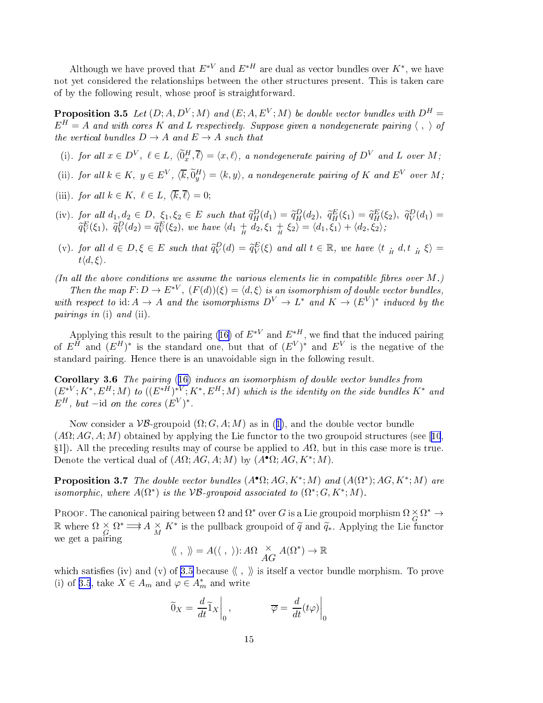<span id="page-14-0"></span>Although we have proved that  $E^{*V}$  and  $E^{*H}$  are dual as vector bundles over  $K^*$ , we have not yet considered the relationships between the other structures present. This is taken care of by the following result, whose proof is straightforward.

**Proposition 3.5** Let  $(D; A, D^V; M)$  and  $(E; A, E^V; M)$  be double vector bundles with  $D^H =$  $E^H = A$  and with cores K and L respectively. Suppose given a nondegenerate pairing  $\langle , \rangle$  of the vertical bundles  $D \to A$  and  $E \to A$  such that

- (i). for all  $x \in D^V$ ,  $\ell \in L$ ,  $\langle \widetilde{0}^H_x, \overline{\ell} \rangle = \langle x, \ell \rangle$ , a nondegenerate pairing of  $D^V$  and L over M;
- (ii). for all  $k \in K$ ,  $y \in E^V$ ,  $\langle \overline{k}, \widetilde{0}^H_y \rangle = \langle k, y \rangle$ , a nondegenerate pairing of K and  $E^V$  over M;
- (iii). for all  $k \in K$ ,  $\ell \in L$ ,  $\langle \overline{k}, \overline{\ell} \rangle = 0$ ;
- (iv). for all  $d_1, d_2 \in D$ ,  $\xi_1, \xi_2 \in E$  such that  $\tilde{q}_H^D(d_1) = \tilde{q}_H^D(d_2)$ ,  $\tilde{q}_H^E(\xi_1) = \tilde{q}_H^E(\xi_2)$ ,  $\tilde{q}_V^D(d_1) =$  $\widetilde{q}_{V}^{E}(\xi_1), \ \widetilde{q}_{V}^{D}(d_2) = \widetilde{q}_{V}^{E}(\xi_2),$  we have  $\langle d_1 + d_2, \xi_1 + \xi_2 \rangle = \langle d_1, \xi_1 \rangle + \langle d_2, \xi_2 \rangle;$
- (v). for all  $d \in D, \xi \in E$  such that  $\tilde{q}_V^D(d) = \tilde{q}_V^E(\xi)$  and all  $t \in \mathbb{R}$ , we have  $\langle t \frac{1}{H} d, t \frac{1}{H} \xi \rangle =$  $t\langle d,\xi\rangle$ .

(In all the above conditions we assume the various elements lie in compatible fibres over  $M$ .)

Then the map  $F: D \to E^{*V}$ ,  $(F(d))(\xi) = \langle d, \xi \rangle$  is an isomorphism of double vector bundles, with respect to id:  $A \to A$  and the isomorphisms  $D^V \to L^*$  and  $K \to (E^V)^*$  induced by the pairings in (i) and (ii).

Applying this result to the pairing [\(16\)](#page-12-0) of  $E^{*V}$  and  $E^{*H}$ , we find that the induced pairing of  $E^H$  and  $(E^H)^*$  is the standard one, but that of  $(E^V)^*$  and  $E^V$  is the negative of the standard pairing. Hen
e there is an unavoidable sign in the following result.

Corollary 3.6 The pairing ([16\)](#page-12-0) induces an isomorphism of double vector bundles from  $(E^{*V};K^*,E^H;M)$  to  $((E^{*H})^{*V};K^*,E^H;M)$  which is the identity on the side bundles  $K^*$  and  $E^H$ , but –id on the cores  $(E^V)^*$ .

Now consider a  $\mathcal{VB}$ -groupoid  $(\Omega; G, A; M)$  as in ([1\)](#page-2-0), and the double vector bundle  $(A\Omega; AG, A; M)$  obtained by applying the Lie functor to the two groupoid structures (see [[10](#page-20-0),  $\S1$ ). All the preceding results may of course be applied to  $A\Omega$ , but in this case more is true. Denote the vertical dual of  $(A\Omega; AG, A; M)$  by  $(A^{\bullet}\Omega; AG, K^*; M)$ .

**Proposition 3.7** The double vector bundles  $(A^{\bullet}\Omega; AG, K^*; M)$  and  $(A(\Omega^*); AG, K^*; M)$  are isomorphic, where  $A(\Omega^*)$  is the VB-groupoid associated to  $(\Omega^*; G, K^*; M)$ .

PROOF. The canonical pairing between  $\Omega$  and  $\Omega^*$  over G is a Lie groupoid morphism  $\Omega \times \Omega^* \to$ R where  $\Omega \times \Omega^* \Longrightarrow A \times K^*$  is the pullback groupoid of  $\widetilde{q}$  and  $\widetilde{q}_*$ . Applying the Lie functor we get a pairing

$$
\langle \langle , \rangle \rangle = A(\langle , \rangle) : A\Omega \underset{AG}{\times} A(\Omega^*) \to \mathbb{R}
$$

which satisfies (iv) and (v) of 3.5 because  $\langle\langle , \rangle\rangle$  is itself a vector bundle morphism. To prove (i) of 3.5, take  $X \in A_m$  and  $\varphi \in A_m^*$  and write

$$
\widetilde{0}_X = \frac{d}{dt} \widetilde{1}_X \bigg|_0, \qquad \qquad \overline{\varphi} = \frac{d}{dt} (t\varphi) \bigg|_0
$$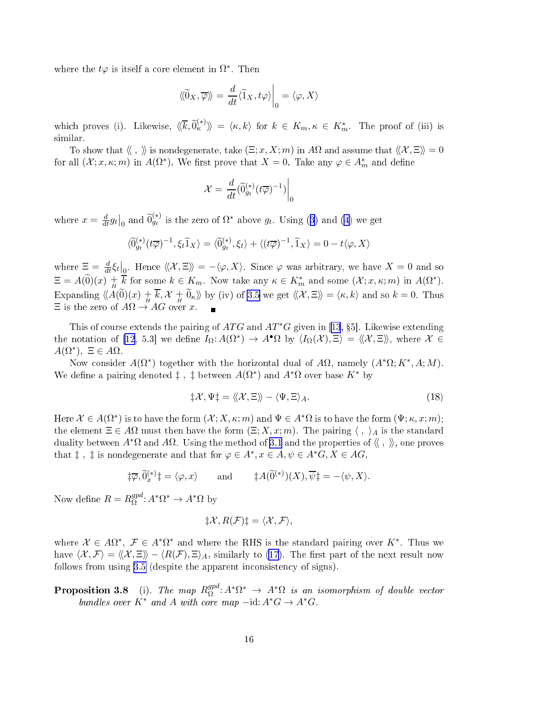where the  $t\varphi$  is itself a core element in  $\Omega^*$ . Then

$$
\langle\!\langle \widetilde{0}_X, \overline{\varphi} \rangle\!\rangle = \frac{d}{dt} \langle \widetilde{1}_X, t\varphi \rangle\Big|_0 = \langle \varphi, X \rangle
$$

which proves (i). Likewise,  $\langle\!\langle \overline{k}, \widetilde{0}^{(*)}_\kappa \rangle\!\rangle = \langle \kappa, k \rangle$  for  $k \in K_m, \kappa \in K_m^*$ . The proof of (iii) is similar.

To show that  $\langle \langle , \rangle \rangle$  is nondegenerate, take  $(\Xi; x, X; m)$  in A $\Omega$  and assume that  $\langle \langle X, \Xi \rangle \rangle = 0$ for all  $(\mathcal{X}; x, \kappa; m)$  in  $A(\Omega^*)$ . We first prove that  $X = 0$ . Take any  $\varphi \in A_m^*$  and define

$$
\mathcal{X} = \left. \frac{d}{dt} (\widetilde{0}_{g_t}^{(*)}(t\overline{\varphi})^{-1}) \right|_0
$$

where  $x = \frac{d}{dt} g_t \big|_0$  and  $\widetilde{0}_{gt}^{(*)}$  is the zero of  $\Omega^*$  above  $g_t$ . Using ([3\)](#page-2-0) and [\(4\)](#page-2-0) we get

$$
\langle \widetilde{0}_{g_t}^{(*)}(t\overline{\varphi})^{-1}, \xi_t \widetilde{1}_X \rangle = \langle \widetilde{0}_{g_t}^{(*)}, \xi_t \rangle + \langle (t\overline{\varphi})^{-1}, \widetilde{1}_X \rangle = 0 - t \langle \varphi, X \rangle
$$

where  $\Xi = \frac{d}{dt} \xi_t \Big|_0$ . Hence  $\langle\langle \mathcal{X}, \Xi \rangle\rangle = -\langle \varphi, X \rangle$ . Since  $\varphi$  was arbitrary, we have  $X = 0$  and so  $\Xi = A(\widetilde{0})(x) + \overline{k}$  for some  $k \in K_m$ . Now take any  $\kappa \in K_m^*$  and some  $(\mathcal{X}; x, \kappa; m)$  in  $A(\Omega^*)$ . Expanding  $\langle A(\tilde{0})(x) + \overline{k}, \mathcal{X} + \tilde{0}_{\kappa} \rangle$  by (iv) of [3.5](#page-14-0) we get  $\langle \langle \mathcal{X}, \Xi \rangle \rangle = \langle \kappa, k \rangle$  and so  $k = 0$ . Thus  $\Xi$  is the zero of  $A\Omega \to AG$  over x.

This of course extends the pairing of  $ATG$  and  $AT*G$  given in [[13](#page-20-0), §5]. Likewise extending the notation of [\[12](#page-20-0), 5.3] we define  $I_{\Omega}: A(\Omega^*) \to A^{\bullet}\Omega$  by  $\langle I_{\Omega}(\mathcal{X}), \Xi \rangle = \langle \langle \mathcal{X}, \Xi \rangle \rangle$ , where  $\mathcal{X} \in$  $A(\Omega^*), \ \Xi \in A\Omega.$ 

Now consider  $A(\Omega^*)$  together with the horizontal dual of  $A\Omega$ , namely  $(A^*\Omega; K^*, A; M)$ . We define a pairing denoted  $\ddagger$ ,  $\ddagger$  between  $A(\Omega^*)$  and  $A^*\Omega$  over base  $K^*$  by

$$
\sharp \mathcal{X}, \Psi \sharp = \langle \langle \mathcal{X}, \Xi \rangle \rangle - \langle \Psi, \Xi \rangle_A. \tag{18}
$$

Here  $\mathcal{X} \in A(\Omega^*)$  is to have the form  $(\mathcal{X}; X, \kappa; m)$  and  $\Psi \in A^*\Omega$  is to have the form  $(\Psi; \kappa, x; m)$ ; the element  $\Xi \in A\Omega$  must then have the form  $(\Xi; X, x; m)$ . The pairing  $\langle , \rangle_A$  is the standard duality between  $A^*\Omega$  and  $A\Omega$ . Using the method of [3.1](#page-12-0) and the properties of  $\langle\langle , \rangle\rangle$ , one proves that  $\ddagger$ ,  $\ddagger$  is nondegenerate and that for  $\varphi \in A^*, x \in A, \psi \in A^*G, X \in AG$ ,

$$
\ddagger \overline{\varphi}, \widetilde{0}_x^{(*)}\ddagger = \langle \varphi, x \rangle \quad \text{and} \quad \ddagger A(\widetilde{0}^{(*)})(X), \overline{\psi} \ddagger = -\langle \psi, X \rangle.
$$

Now define  $R = R_{\Omega}^{gpd}$  $_{\Omega}^{gpd}: A^*\Omega^* \to A^*\Omega$  by

$$
\sharp \mathcal{X}, R(\mathcal{F})\sharp = \langle \mathcal{X}, \mathcal{F} \rangle,
$$

where  $X \in A\Omega^*, \mathcal{F} \in A^*\Omega^*$  and where the RHS is the standard pairing over K<sup>\*</sup>. Thus we have  $\langle \mathcal{X}, \mathcal{F} \rangle = \langle \mathcal{X}, \Xi \rangle - \langle R(\mathcal{F}), \Xi \rangle_A$ , similarly to [\(17](#page-13-0)). The first part of the next result now follows from using [3.5](#page-14-0) (despite the apparent inconsistency of signs).

**Proposition 3.8** (i). The map  $R_{\Omega}^{gpd}$  $\Omega^{gd}\colon\! A^*\Omega^* \,\to\, A^*\Omega$  is an isomorphism of double vector bundles over  $K^*$  and A with core map  $-\text{id}: A^*G \to A^*G$ .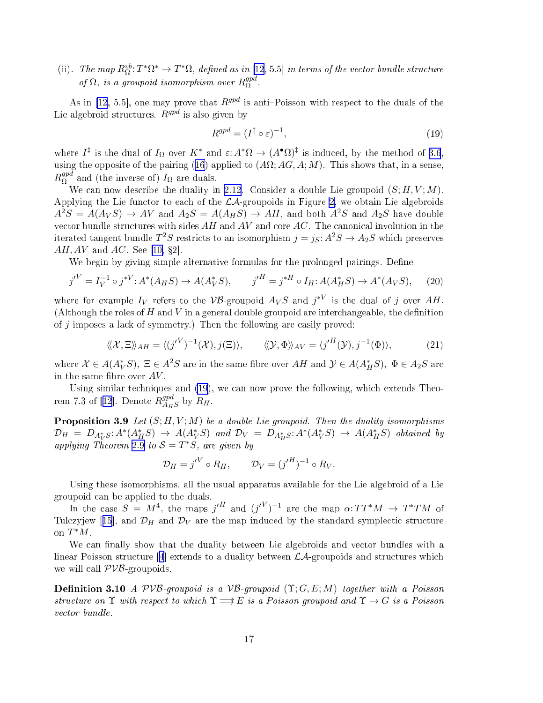<span id="page-16-0"></span>(ii). The map  $R^{vb}_{\Omega}: T^*\Omega^* \to T^*\Omega$ , defined as in [\[12,](#page-20-0) 5.5] in terms of the vector bundle structure of  $\Omega$ , is a groupoid isomorphism over  $R_{\Omega}^{gpd}$ Ω .

As in [\[12](#page-20-0), 5.5], one may prove that  $R^{gpd}$  is anti-Poisson with respect to the duals of the Lie algebroid structures.  $R^{gpd}$  is also given by

$$
R^{gpd} = (I^{\ddagger} \circ \varepsilon)^{-1},\tag{19}
$$

where  $I^{\ddagger}$  is the dual of  $I_{\Omega}$  over  $K^*$  and  $\varepsilon: A^*\Omega \to (A^{\bullet}\Omega)^{\ddagger}$  is induced, by the method of [3.6](#page-14-0), using the opposite of the pairing [\(16\)](#page-12-0) applied to  $(A\Omega; AG, A; M)$ . This shows that, in a sense,  $R^{gpd}_{\Omega}$  $_{\Omega}^{gpa}$  and (the inverse of)  $I_{\Omega}$  are duals.

We can now describe the duality in [2.12](#page-10-0). Consider a double Lie groupoid  $(S; H, V; M)$ . Applying the Lie functor to each of the  $\mathcal{LA}$ -groupoids in Figure [2,](#page-4-0) we obtain Lie algebroids  $A^2S = A(A_VS) \rightarrow AV$  and  $A_2S = A(A_HS) \rightarrow AH$ , and both  $A^2S$  and  $A_2S$  have double vector bundle structures with sides  $AH$  and  $AV$  and core  $AC$ . The canonical involution in the iterated tangent bundle  $T^2S$  restricts to an isomorphism  $j = j_S \colon\! A^2S \to A_2S$  which preserves  $AH, AV$  and  $AC$ . See [\[10,](#page-20-0) §2].

We begin by giving simple alternative formulas for the prolonged pairings. Define

$$
{j'}^V = I_V^{-1} \circ j^{*V} : A^*(A_H S) \to A(A_V^* S), \qquad {j'}^H = j^{*H} \circ I_H : A(A_H^* S) \to A^*(A_V S), \tag{20}
$$

where for example  $I_V$  refers to the VB-groupoid  $A_V S$  and  $j^{*V}$  is the dual of j over AH. (Although the roles of  $H$  and  $V$  in a general double groupoid are interchangeable, the definition of j imposes <sup>a</sup> la
k of symmetry.) Then the following are easily proved:

$$
\langle\!\langle \mathcal{X}, \Xi \rangle\!\rangle_{AH} = \langle (j'^V)^{-1}(\mathcal{X}), j(\Xi) \rangle, \qquad \langle\!\langle \mathcal{Y}, \Phi \rangle\!\rangle_{AV} = \langle j'^H(\mathcal{Y}), j^{-1}(\Phi) \rangle, \tag{21}
$$

where  $\mathcal{X} \in A(A_V^*S)$ ,  $\Xi \in A^2S$  are in the same fibre over  $AH$  and  $\mathcal{Y} \in A(A_H^*S)$ ,  $\Phi \in A_2S$  are in the same fibre over  $AV$ .

Using similar techniques and (19), we can now prove the following, which extends Theo-rem 7.3 of [[12](#page-20-0)]. Denote  $R_{A_{II}}^{gpd}$  $^{gpa}_{A_HS}$  by  $R_H$ .

**Proposition 3.9** Let  $(S; H, V; M)$  be a double Lie groupoid. Then the duality isomorphisms  $\mathcal{D}_H = D_{A_V^*S}: A^*(A_H^*S) \rightarrow A(A_V^*S)$  $\mathcal{D}_H = D_{A_V^*S}: A^*(A_H^*S) \rightarrow A(A_V^*S)$  $\mathcal{D}_H = D_{A_V^*S}: A^*(A_H^*S) \rightarrow A(A_V^*S)$  and  $\mathcal{D}_V = D_{A_H^*S}: A^*(A_V^*S) \rightarrow A(A_H^*S)$  obtained by applying Theorem 2.9 to  $S = T^*S$ , are given by

$$
\mathcal{D}_H = {j'}^V \circ R_H, \qquad \mathcal{D}_V = (j'^H)^{-1} \circ R_V.
$$

Using these isomorphisms, all the usual apparatus available for the Lie algebroid of a Lie

In the case  $S = M^4$ , the maps  $j'^H$  and  $(j'^V)^{-1}$  are the map  $\alpha: TT^*M \rightarrow T^*TM$  of Tulczyjew [[15](#page-20-0)], and  $\mathcal{D}_H$  and  $\mathcal{D}_V$  are the map induced by the standard symplectic structure on  $T^*M$ .

We can finally show that the duality between Lie algebroids and vector bundles with a linear Poisson structure [[4](#page-20-0)] extends to a duality between  $\mathcal{L}A$ -groupoids and structures which we will call  $PVB$ -groupoids.

**Definition 3.10** A PVB-groupoid is a VB-groupoid  $(\Upsilon; G, E; M)$  together with a Poisson structure on  $\Upsilon$  with respect to which  $\Upsilon \Longrightarrow E$  is a Poisson groupoid and  $\Upsilon \to G$  is a Poisson vector bundle.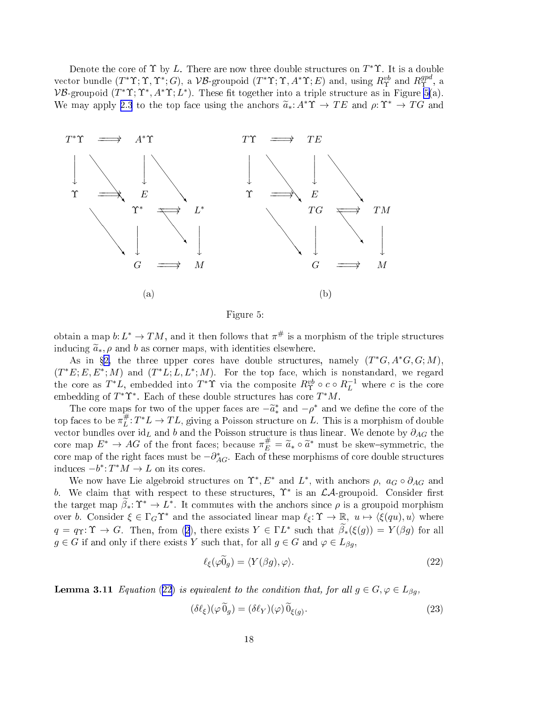<span id="page-17-0"></span>Denote the core of  $\Upsilon$  by L. There are now three double structures on  $T^*\Upsilon$ . It is a double vector bundle  $(T^*\Upsilon; \Upsilon, \Upsilon^*; G)$ , a VB-groupoid  $(T^*\Upsilon; \Upsilon, A^*\Upsilon; E)$  and, using  $R^{vb}_{\Upsilon}$  and  $R^{gpd}_{\Upsilon}$  $\Upsilon$  ,  $^\alpha$ VB-groupoid  $(T^* \Upsilon; \Upsilon^*, A^* \Upsilon; L^*)$ . These fit together into a triple structure as in Figure 5(a). We may apply [2.3](#page-7-0) to the top face using the anchors  $\tilde{a}_* : A^*Y \to TE$  and  $\rho: Y^* \to TG$  and



Figure 5:

obtain a map  $b: L^* \to TM$ , and it then follows that  $\pi^{\#}$  is a morphism of the triple structures inducing  $\tilde{a}_*, \rho$  and b as corner maps, with identities elsewhere.

As in §[2,](#page-6-0) the three upper cores have double structures, namely  $(T^*G, A^*G, G; M)$ ,  $(T^*E; E, E^*; M)$  and  $(T^*L; L, L^*; M)$ . For the top face, which is nonstandard, we regard the core as  $T^*L$ , embedded into  $T^*\Upsilon$  via the composite  $R^{vb}_{\Upsilon} \circ c \circ R^{-1}_L$  where c is the core embedding of  $T^*\Upsilon^*$ . Each of these double structures has core  $T^*M$ .

The core maps for two of the upper faces are  $-\tilde{a}^*_*$  and  $-\rho^*$  and we define the core of the top faces to be  $\pi_L^{\#}$  $L^{\#}: T^*L \to TL$ , giving a Poisson structure on L. This is a morphism of double vector bundles over  $id_L$  and b and the Poisson structure is thus linear. We denote by  $\partial_{AG}$  the core map  $E^* \to AG$  of the front faces; because  $\pi_E^{\#} = \widetilde{a}_* \circ \widetilde{a}^*$  must be skew-symmetric, the core map of the right faces must be  $-\partial_{AG}^*$ . Each of these morphisms of core double structures induces  $-b^*$ :  $T^*M \to L$  on its cores.

We now have Lie algebroid structures on  $\Upsilon^*, E^*$  and  $L^*$ , with anchors  $\rho$ ,  $a_G \circ \partial_{AG}$  and b. We claim that with respect to these structures,  $\Upsilon^*$  is an  $\mathcal{LA}$ -groupoid. Consider first the target map  $\beta_*: \Upsilon^* \to L^*$ . It commutes with the anchors since  $\rho$  is a groupoid morphism over b. Consider  $\xi \in \Gamma_G \Upsilon^*$  and the associated linear map  $\ell_{\xi}: \Upsilon \to \mathbb{R}, u \mapsto \langle \xi (qu), u \rangle$  where  $q = q_\Upsilon: \Upsilon \to G$ . Then, from ([2](#page-2-0)), there exists  $Y \in \Gamma L^*$  such that  $\beta_*(\xi(g)) = Y(\beta g)$  for all  $g \in G$  if and only if there exists Y such that, for all  $g \in G$  and  $\varphi \in L_{\beta q}$ ,

$$
\ell_{\xi}(\varphi \tilde{0}_g) = \langle Y(\beta g), \varphi \rangle. \tag{22}
$$

**Lemma 3.11** Equation (22) is equivalent to the condition that, for all  $g \in G, \varphi \in L_{\beta g}$ ,

$$
(\delta \ell_{\xi})(\varphi \widetilde{0}_g) = (\delta \ell_{Y})(\varphi) \widetilde{0}_{\xi(g)}.
$$
\n(23)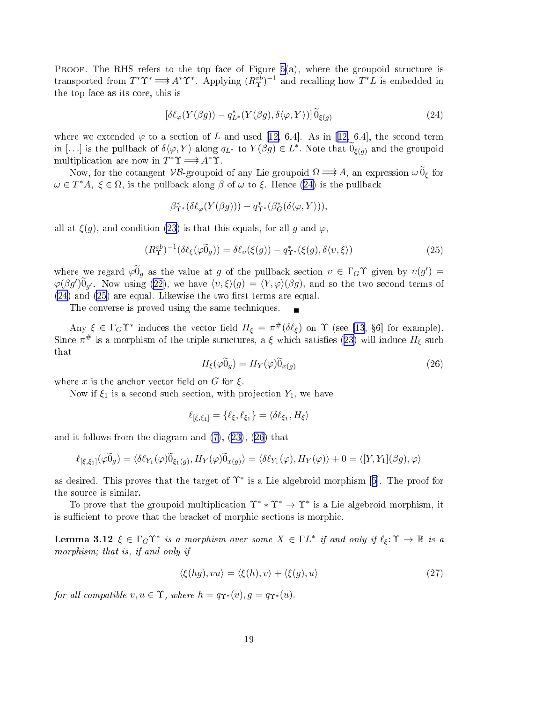<span id="page-18-0"></span>PROOF. The RHS refers to the top face of Figure  $5(a)$  $5(a)$ , where the groupoid structure is transported from  $T^*\Upsilon^* \Longrightarrow A^*\Upsilon^*$ . Applying  $(R^{vb}_{\Upsilon})^{-1}$  and recalling how  $T^*L$  is embedded in the top fa
e as its ore, this is

$$
[\delta \ell_{\varphi}(Y(\beta g)) - q_{L^*}^*(Y(\beta g), \delta \langle \varphi, Y \rangle)] \widetilde{0}_{\xi(g)} \tag{24}
$$

where we extended  $\varphi$  to a section of L and used [[12,](#page-20-0) 6.4]. As in [12, 6.4], the second term in [...] is the pullback of  $\delta\langle\varphi, Y\rangle$  along  $q_{L^*}$  to  $Y(\beta g) \in L^*$ . Note that  $\widetilde{0}_{\xi(g)}$  and the groupoid multiplication are now in  $T^*\Upsilon \longrightarrow A^*\Upsilon$ .

Now, for the cotangent VB-groupoid of any Lie groupoid  $\Omega \longrightarrow A$ , an expression  $\omega \hat{0}_{\xi}$  for  $\omega \in T^*A, \xi \in \Omega$ , is the pullback along  $\beta$  of  $\omega$  to  $\xi$ . Hence (24) is the pullback

$$
\beta_{\Upsilon^*}^*(\delta\ell_\varphi(Y(\beta g))) - q_{\Upsilon^*}^*(\beta_G^*(\delta\langle\varphi, Y\rangle)),
$$

all at  $\xi(g)$ , and condition [\(23](#page-17-0)) is that this equals, for all g and  $\varphi$ ,

$$
(R^{vb}_{\Upsilon})^{-1}(\delta\ell_{\xi}(\varphi\widetilde{0}_g)) = \delta\ell_{\upsilon}(\xi(g)) - q^*_{\Upsilon^*}(\xi(g), \delta\langle\upsilon, \xi\rangle)
$$
\n(25)

where we regard  $\varphi \widetilde{0}_g$  as the value at g of the pullback section  $v \in \Gamma_G \Upsilon$  given by  $v(g') =$  $\varphi(\beta g')\widetilde{0}_{g'}$ . Now using [\(22\)](#page-17-0), we have  $\langle v,\xi\rangle(g)=\langle Y,\varphi\rangle(\beta g)$ , and so the two second terms of  $(24)$  and  $(25)$  are equal. Likewise the two first terms are equal.

The converse is proved using the same techniques.

Any  $\xi \in \Gamma_G \Upsilon^*$  induces the vector field  $H_{\xi} = \pi^{\#}(\delta \ell_{\xi})$  on  $\Upsilon$  (see [\[13](#page-20-0), §6] for example). Since  $\pi^{\#}$  is a morphism of the triple structures, a  $\xi$  which satisfies ([23\)](#page-17-0) will induce  $H_{\xi}$  such that

$$
H_{\xi}(\varphi \widetilde{0}_g) = H_Y(\varphi)\widetilde{0}_{x(g)}\tag{26}
$$

where x is the anchor vector field on G for  $\xi$ .

Now if  $\xi_1$  is a second such section, with projection  $Y_1$ , we have

$$
\ell_{\left[\xi,\xi_1\right]} = \left\{\ell_{\xi},\ell_{\xi_1}\right\} = \left\langle\delta\ell_{\xi_1},H_{\xi}\right\rangle
$$

and it follows from the diagram and [\(7\)](#page-3-0), ([23\)](#page-17-0), (26) that

$$
\ell_{\left[\xi,\xi_1\right]}(\varphi\widetilde{0}_g) = \langle \delta\ell_{Y_1}(\varphi)\widetilde{0}_{\xi_1(g)}, H_Y(\varphi)\widetilde{0}_{x(g)} \rangle = \langle \delta\ell_{Y_1}(\varphi), H_Y(\varphi) \rangle + 0 = \langle [Y, Y_1](\beta g), \varphi \rangle
$$

as desired. This proves that the target of  $\Upsilon^*$  is a Lie algebroid morphism [5]. The proof for the sour
e is similar.

To prove that the groupoid multiplication  $\Upsilon^* * \Upsilon^* \to \Upsilon^*$  is a Lie algebroid morphism, it is sufficient to prove that the bracket of morphic sections is morphic.

**Lemma 3.12**  $\xi \in \Gamma_G \Upsilon^*$  is a morphism over some  $X \in \Gamma L^*$  if and only if  $\ell_{\xi} : \Upsilon \to \mathbb{R}$  is a morphism; that is, if and only if

$$
\langle \xi(hg), vu \rangle = \langle \xi(h), v \rangle + \langle \xi(g), u \rangle \tag{27}
$$

for all compatible  $v, u \in \Upsilon$ , where  $h = q_{\Upsilon^*}(v), g = q_{\Upsilon^*}(u)$ .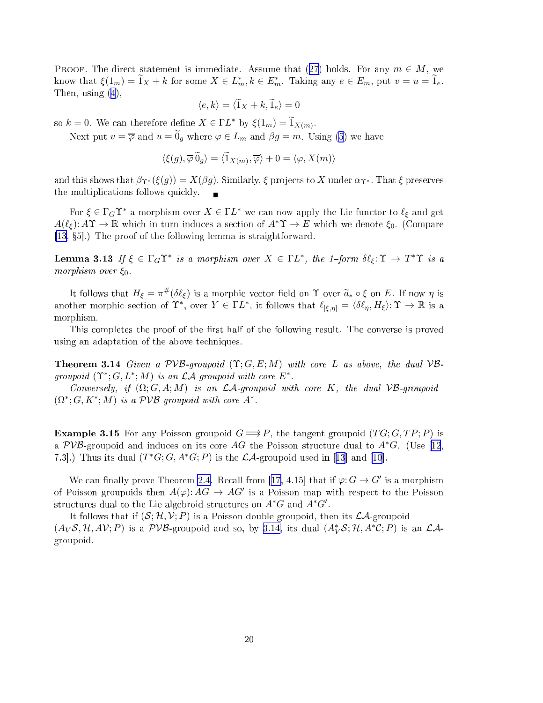<span id="page-19-0"></span>PROOF. The direct statement is immediate. Assume that ([27](#page-18-0)) holds. For any  $m \in M$ , we know that  $\xi(1_m) = \widetilde{1}_X + k$  for some  $X \in L_m^*, k \in E_m^*$ . Taking any  $e \in E_m$ , put  $v = u = \widetilde{1}_e$ . Then, using [\(4](#page-2-0)),

$$
\langle e, k \rangle = \langle \widetilde{1}_X + k, \widetilde{1}_e \rangle = 0
$$

so  $k = 0$ . We can therefore define  $X \in \Gamma L^*$  by  $\xi(1_m) = \widetilde{1}_{X(m)}$ .

Next put  $v = \overline{\varphi}$  and  $u = \widetilde{0}_q$  where  $\varphi \in L_m$  and  $\beta g = m$ . Using [\(5](#page-2-0)) we have

$$
\langle \xi(g), \overline{\varphi} \, \widetilde{\theta}_g \rangle = \langle \widetilde{1}_{X(m)}, \overline{\varphi} \rangle + 0 = \langle \varphi, X(m) \rangle
$$

and this shows that  $\beta_{\Upsilon^*}(\xi(g)) = X(\beta g)$ . Similarly,  $\xi$  projects to X under  $\alpha_{\Upsilon^*}$ . That  $\xi$  preserves the multipli
ations follows qui
kly.

For  $\xi \in \Gamma_G \Upsilon^*$  a morphism over  $X \in \Gamma L^*$  we can now apply the Lie functor to  $\ell_{\xi}$  and get  $A(\ell_{\varepsilon})$ :  $A\Upsilon \to \mathbb{R}$  which in turn induces a section of  $A^*\Upsilon \to E$  which we denote  $\xi_0$ . (Compare  $[13, §5]$  $[13, §5]$ .) The proof of the following lemma is straightforward.

**Lemma 3.13** If  $\xi \in \Gamma_G \Upsilon^*$  is a morphism over  $X \in \Gamma L^*$ , the 1-form  $\delta \ell_{\xi} : \Upsilon \to T^* \Upsilon$  is a morphism over  $\xi_0$ .

It follows that  $H_{\xi} = \pi^{\#}(\delta \ell_{\xi})$  is a morphic vector field on  $\Upsilon$  over  $\widetilde{a}_* \circ \xi$  on  $E$ . If now  $\eta$  is another morphic section of  $\Upsilon^*$ , over  $Y \in \Gamma L^*$ , it follows that  $\ell_{[\xi,\eta]} = \langle \delta \ell_{\eta}, H_{\xi} \rangle: \Upsilon \to \mathbb{R}$  is a morphism.

This completes the proof of the first half of the following result. The converse is proved using an adaptation of the above te
hniques.

**Theorem 3.14** Given a  $PVB$ -groupoid  $(\Upsilon; G, E; M)$  with core L as above, the dual  $VB$ groupoid  $(\Upsilon^*; G, L^*; M)$  is an  $\mathcal{LA}$ -groupoid with core  $E^*$ .

Conversely, if  $(\Omega; G, A; M)$  is an *LA*-groupoid with core K, the dual VB-groupoid  $(\Omega^*; G, K^*; M)$  is a  $PVB$ -groupoid with core  $A^*$ .

**Example 3.15** For any Poisson groupoid  $G \implies P$ , the tangent groupoid  $(TG; G, TP; P)$  is a PVB-groupoid and induces on its core AG the Poisson structure dual to  $A^*G$ . (Use [[12](#page-20-0), 7.3.]) Thus its dual  $(T^*G; G, A^*G; P)$  is the  $\mathcal{LA}$ -groupoid used in [[13](#page-20-0)] and [\[10](#page-20-0)].

We can finally prove Theorem [2.4](#page-7-0). Recall from [[17,](#page-20-0) 4.15] that if  $\varphi: G \to G'$  is a morphism of Poisson groupoids then  $A(\varphi): AG \to AG'$  is a Poisson map with respect to the Poisson structures dual to the Lie algebroid structures on  $A^*G$  and  $A^*G'$ .

It follows that if  $(S; \mathcal{H}, \mathcal{V}; P)$  is a Poisson double groupoid, then its  $\mathcal{L}A$ -groupoid  $(A_V\mathcal{S}, \mathcal{H}, A\mathcal{V}; P)$  is a  $PVB$ -groupoid and so, by 3.14, its dual  $(A_V^*\mathcal{S}; \mathcal{H}, A^*\mathcal{C}; P)$  is an  $\mathcal{LA}$ groupoid.